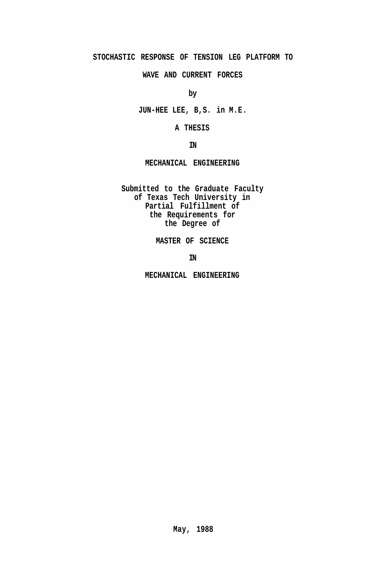## **STOCHASTIC RESPONSE OF TENSION LEG PLATFORM TO**

**WAVE AND CURRENT FORCES** 

**by** 

**JUN-HEE LEE, B,S. in M.E.** 

**A THESIS** 

**IN** 

**MECHANICAL ENGINEERING** 

**Submitted to the Graduate Faculty of Texas Tech University in Partial Fulfillment of the Requirements for the Degree of** 

**MASTER OF SCIENCE** 

**IN** 

**MECHANICAL ENGINEERING**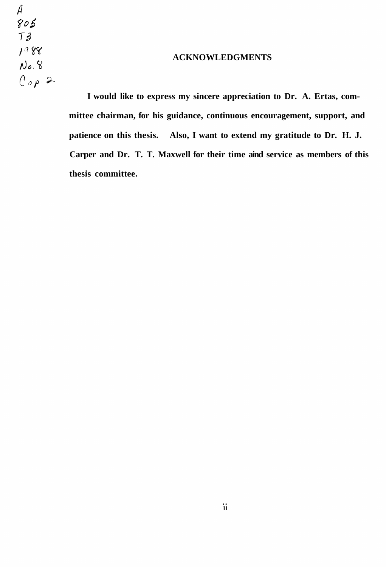$\mathcal{A}$  $805$  $T3$  $1988$  $No.S$  $log P$ 

## **ACKNOWLEDGMENTS**

**I would like to express my sincere appreciation to Dr. A. Ertas, committee chairman, for his guidance, continuous encouragement, support, and patience on this thesis. Also, I want to extend my gratitude to Dr. H. J. Carper and Dr. T. T. Maxwell for their time aind service as members of this thesis committee.**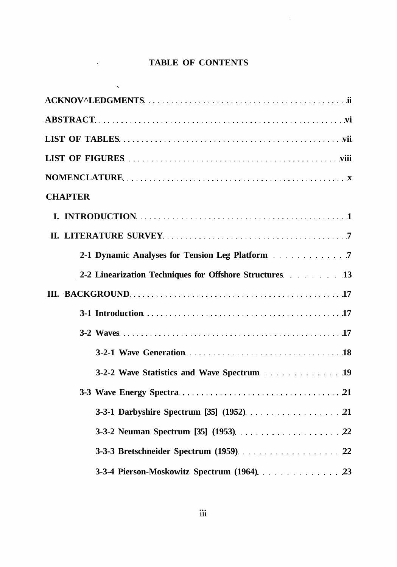# **TABLE OF CONTENTS**

 $\mathcal{L}^{\text{max}}_{\text{max}}$ 

 $\sim$ 

 $\mathcal{L}^{\mathcal{A}}$ 

| <b>CHAPTER</b>                                          |
|---------------------------------------------------------|
|                                                         |
|                                                         |
|                                                         |
| 2-2 Linearization Techniques for Offshore Structures 13 |
|                                                         |
|                                                         |
|                                                         |
|                                                         |
|                                                         |
|                                                         |
|                                                         |
|                                                         |
|                                                         |
| 3-3-4 Pierson-Moskowitz Spectrum (1964). 23             |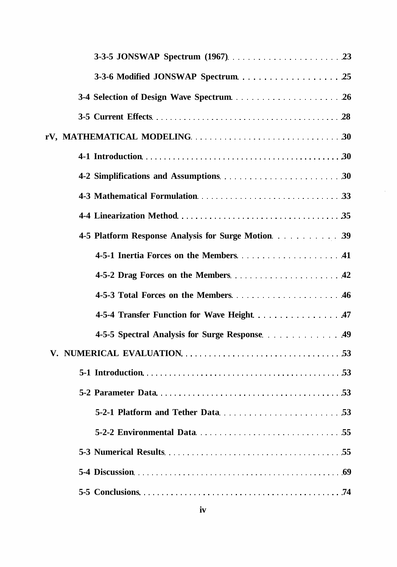| 4-5-4 Transfer Function for Wave Height 47 |
|--------------------------------------------|
|                                            |
|                                            |
|                                            |
|                                            |
|                                            |
|                                            |
|                                            |
|                                            |
|                                            |

 $\sim$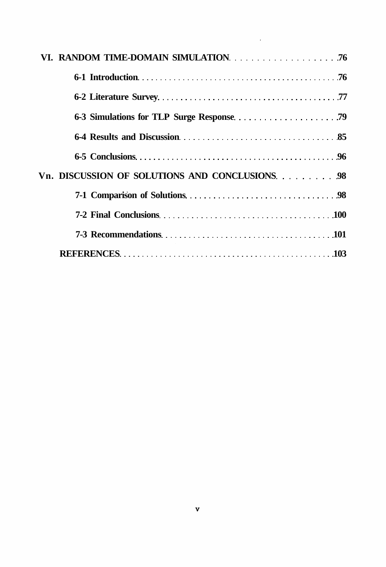$\mathcal{L}^{\text{max}}_{\text{max}}$  , where  $\mathcal{L}^{\text{max}}_{\text{max}}$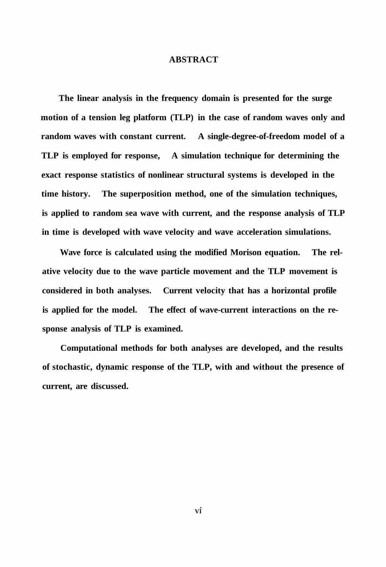### **ABSTRACT**

**The linear analysis in the frequency domain is presented for the surge motion of a tension leg platform (TLP) in the case of random waves only and random waves with constant current. A single-degree-of-freedom model of a TLP is employed for response, A simulation technique for determining the exact response statistics of nonlinear structural systems is developed in the time history. The superposition method, one of the simulation techniques, is applied to random sea wave with current, and the response analysis of TLP in time is developed with wave velocity and wave acceleration simulations.** 

**Wave force is calculated using the modified Morison equation. The relative velocity due to the wave particle movement and the TLP movement is considered in both analyses. Current velocity that has a horizontal profile is applied for the model. The effect of wave-current interactions on the response analysis of TLP is examined.** 

**Computational methods for both analyses are developed, and the results of stochastic, dynamic response of the TLP, with and without the presence of current, are discussed.**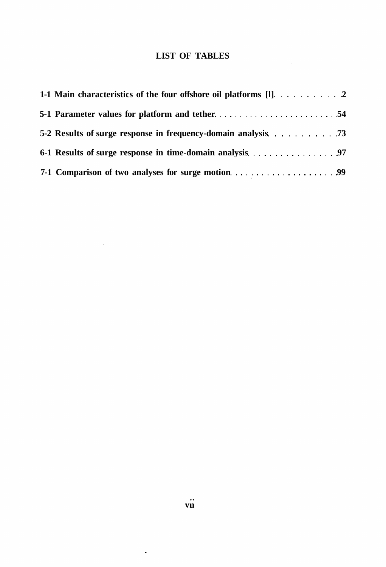# **LIST OF TABLES**

 $\frac{1}{2} \int_{\mathbb{R}^2} \frac{1}{\sqrt{2}} \, \mathrm{d} x$ 

| 5-2 Results of surge response in frequency-domain analysis 73 |  |
|---------------------------------------------------------------|--|
|                                                               |  |
|                                                               |  |

 $\mathcal{L}^{\text{max}}_{\text{max}}$  , where  $\mathcal{L}^{\text{max}}_{\text{max}}$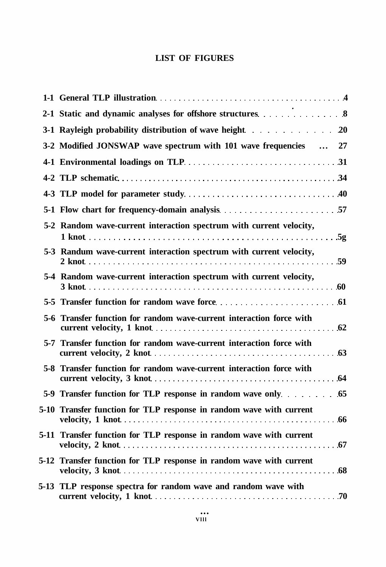# **LIST OF FIGURES**

| 3-1 Rayleigh probability distribution of wave height 20              |
|----------------------------------------------------------------------|
| 3-2 Modified JONSWAP wave spectrum with 101 wave frequencies  27     |
|                                                                      |
|                                                                      |
|                                                                      |
|                                                                      |
| 5-2 Random wave-current interaction spectrum with current velocity,  |
| 5-3 Randum wave-current interaction spectrum with current velocity,  |
| 5-4 Random wave-current interaction spectrum with current velocity,  |
|                                                                      |
| 5-6 Transfer function for random wave-current interaction force with |
| 5-7 Transfer function for random wave-current interaction force with |
| 5-8 Transfer function for random wave-current interaction force with |
|                                                                      |
| 5-10 Transfer function for TLP response in random wave with current  |
| 5-11 Transfer function for TLP response in random wave with current  |
| 5-12 Transfer function for TLP response in random wave with current  |
| 5-13 TLP response spectra for random wave and random wave with       |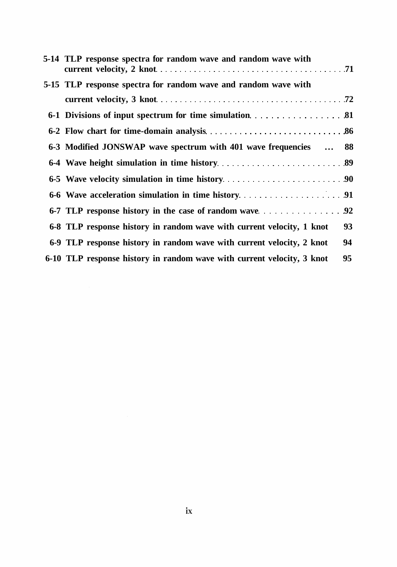| 5-14 TLP response spectra for random wave and random wave with         |    |
|------------------------------------------------------------------------|----|
| 5-15 TLP response spectra for random wave and random wave with         |    |
|                                                                        |    |
|                                                                        |    |
|                                                                        |    |
| 6-3 Modified JONSWAP wave spectrum with 401 wave frequencies  88       |    |
|                                                                        |    |
|                                                                        |    |
|                                                                        |    |
|                                                                        |    |
| 6-8 TLP response history in random wave with current velocity, 1 knot  | 93 |
| 6-9 TLP response history in random wave with current velocity, 2 knot  | 94 |
| 6-10 TLP response history in random wave with current velocity, 3 knot | 95 |
|                                                                        |    |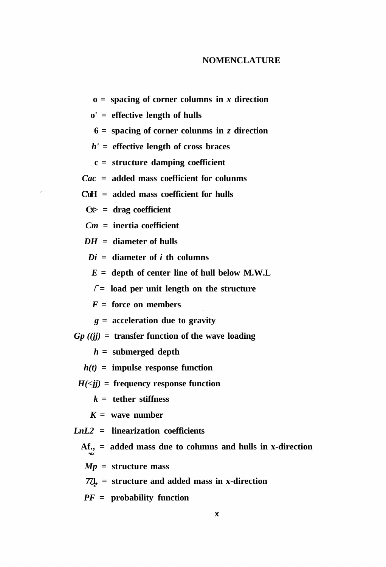### **NOMENCLATURE**

 $o =$  spacing of corner columns in *x* direction

**o' = effective length of hulls** 

**6 = spacing of corner colunms in** *z* **direction** 

*h' =* **effective length of cross braces** 

**c = structure damping coefficient** 

*Cac =* **added mass coefficient for colunms** 

**C'oH = added mass coefficient for hulls** 

**Cx> = drag coefficient** 

*Cm =* **inertia coefficient** 

*DH* **= diameter of hulls** 

*Di* **= diameter of** *i* **th columns** 

*E =* **depth of center line of hull below M.W.L** 

**/ = load per unit length on the structure** 

*F =* **force on members** 

*g* **= acceleration due to gravity** 

*Gp ((jj) =* **transfer function of the wave loading** 

*h =* **submerged depth** 

*h(t) =* **impulse response function** 

 $H(\leq ij)$  = frequency response function

*k* **= tether stiffness** 

 $K =$  wave number

*LnL2* **= linearization coefficients** 

**Af., = added mass due to columns and hulls in x-direction**  *'•ax* 

*Mp =* **structure mass** 

 $77\frac{1}{3}$  = structure and added mass in x-direction

*PF =* **probability function**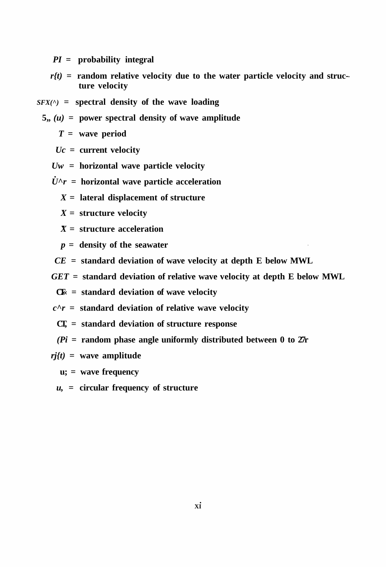*PI* **= probability integral** 

- $r(t)$  = random relative velocity due to the water particle velocity and struc**ture velocity**
- *SFX(^)* **= spectral density of the wave loading**
- $5, (u)$  = power spectral density of wave amplitude

*T =* **wave period** 

*Uc =* **current velocity** 

- *Uw* **= horizontal wave particle velocity**
- $\dot{U}^{\wedge}r$  = horizontal wave particle acceleration
	- *X =* **lateral displacement of structure**
	- *X =* **structure velocity**
	- *X* **= structure acceleration**
	- *p =* **density of the seawater**
- *CE =* **standard deviation of wave velocity at depth E below MWL**
- *GET =* **standard deviation of relative wave velocity at depth E below MWL**

**CT« = standard deviation of wave velocity** 

 $c^r =$  **standard deviation of relative wave velocity** 

- **CT, = standard deviation of structure response**
- *(Pi =* **random phase angle uniformly distributed between 0 to 27r**
- *rj{t)* **= wave amplitude**

**u; = wave frequency** 

*u, =* **circular frequency of structure**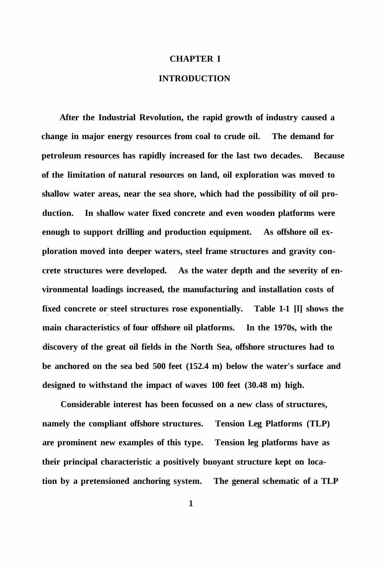### **CHAPTER I**

## **INTRODUCTION**

**After the Industrial Revolution, the rapid growth of industry caused a change in major energy resources from coal to crude oil. The demand for petroleum resources has rapidly increased for the last two decades. Because of the limitation of natural resources on land, oil exploration was moved to shallow water areas, near the sea shore, which had the possibility of oil production. In shallow water fixed concrete and even wooden platforms were enough to support drilling and production equipment. As offshore oil exploration moved into deeper waters, steel frame structures and gravity concrete structures were developed. As the water depth and the severity of environmental loadings increased, the manufacturing and installation costs of fixed concrete or steel structures rose exponentially. Table 1-1 [l] shows the main characteristics of four offshore oil platforms. In the 1970s, with the discovery of the great oil fields in the North Sea, offshore structures had to be anchored on the sea bed 500 feet (152.4 m) below the water's surface and designed to withstand the impact of waves 100 feet (30.48 m) high.** 

**Considerable interest has been focussed on a new class of structures, namely the compliant offshore structures. Tension Leg Platforms (TLP) are prominent new examples of this type. Tension leg platforms have as their principal characteristic a positively buoyant structure kept on location by a pretensioned anchoring system. The general schematic of a TLP** 

 $\mathbf{1}$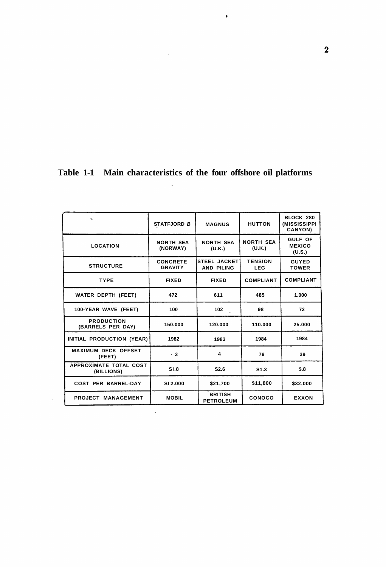|  |  |  | Table 1-1 Main characteristics of the four offshore oil platforms |  |  |  |  |  |
|--|--|--|-------------------------------------------------------------------|--|--|--|--|--|
|--|--|--|-------------------------------------------------------------------|--|--|--|--|--|

 $\ddot{\phantom{0}}$ 

|                                        | <b>STATFJORD B</b>                | <b>MAGNUS</b>                            | <b>HUTTON</b>                | BLOCK 280<br>(MISSISSIPPI<br>CANYON)      |
|----------------------------------------|-----------------------------------|------------------------------------------|------------------------------|-------------------------------------------|
| <b>LOCATION</b>                        | <b>NORTH SEA</b><br>(NORWAY)      | <b>NORTH SEA</b><br>(U.K.)               | <b>NORTH SEA</b><br>(U.K.)   | <b>GULF OF</b><br><b>MEXICO</b><br>(U.S.) |
| <b>STRUCTURE</b>                       | <b>CONCRETE</b><br><b>GRAVITY</b> | <b>STEEL JACKET</b><br><b>AND PILING</b> | <b>TENSION</b><br><b>LEG</b> | <b>GUYED</b><br><b>TOWER</b>              |
| <b>TYPE</b>                            | <b>FIXED</b>                      | <b>FIXED</b>                             | <b>COMPLIANT</b>             | <b>COMPLIANT</b>                          |
| <b>WATER DEPTH (FEET)</b>              | 472                               | 611                                      | 485                          | 1.000                                     |
| 100-YEAR WAVE (FEET)                   | 100                               | 102                                      | 98                           | 72                                        |
| <b>PRODUCTION</b><br>(BARRELS PER DAY) | 150.000                           | 120.000                                  | 110.000                      | 25.000                                    |
| INITIAL PRODUCTION (YEAR)              | 1982                              | 1983                                     | 1984                         | 1984                                      |
| <b>MAXIMUM DECK OFFSET</b><br>(FEET)   | $\cdot$ 3                         | 4                                        | 79                           | 39                                        |
| APPROXIMATE TOTAL COST<br>(BILLIONS)   | SI.8                              | S2.6                                     | S <sub>1.3</sub>             | \$.8                                      |
| <b>COST PER BARREL-DAY</b>             | SI 2.000                          | \$21,700                                 | \$11,800                     | \$32,000                                  |
| PROJECT MANAGEMENT                     | <b>MOBIL</b>                      | <b>BRITISH</b><br><b>PETROLEUM</b>       | <b>CONOCO</b>                | <b>EXXON</b>                              |

 $\frac{1}{2} \frac{1}{2} \frac{1}{2} \frac{1}{2} \frac{1}{2} \frac{1}{2}$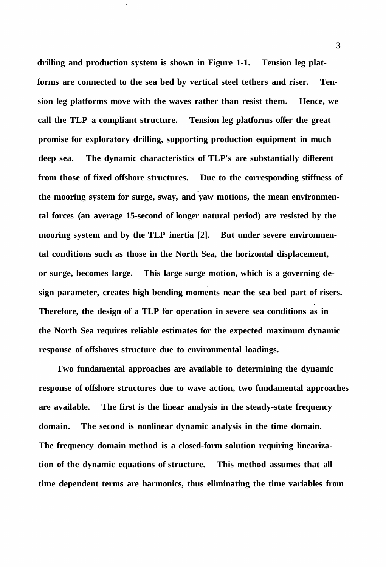**drilling and production system is shown in Figure 1-1. Tension leg platforms are connected to the sea bed by vertical steel tethers and riser. Tension leg platforms move with the waves rather than resist them. Hence, we call the TLP a compliant structure. Tension leg platforms offer the great promise for exploratory drilling, supporting production equipment in much deep sea. The dynamic characteristics of TLP's are substantially different from those of fixed offshore structures. Due to the corresponding stiffness of the mooring system for surge, sway, and yaw motions, the mean environmental forces (an average 15-second of longer natural period) are resisted by the mooring system and by the TLP inertia [2]. But under severe environmental conditions such as those in the North Sea, the horizontal displacement, or surge, becomes large. This large surge motion, which is a governing design parameter, creates high bending moments near the sea bed part of risers. Therefore, the design of a TLP for operation in severe sea conditions as in the North Sea requires reliable estimates for the expected maximum dynamic response of offshores structure due to environmental loadings.** 

**Two fundamental approaches are available to determining the dynamic response of offshore structures due to wave action, two fundamental approaches are available. The first is the linear analysis in the steady-state frequency domain. The second is nonlinear dynamic analysis in the time domain. The frequency domain method is a closed-form solution requiring linearization of the dynamic equations of structure. This method assumes that all time dependent terms are harmonics, thus eliminating the time variables from**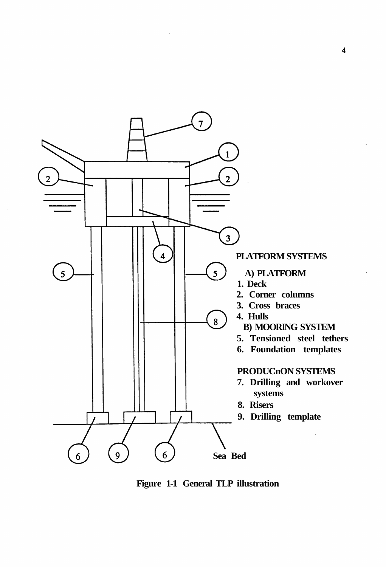

**Figure 1-1 General TLP illustration**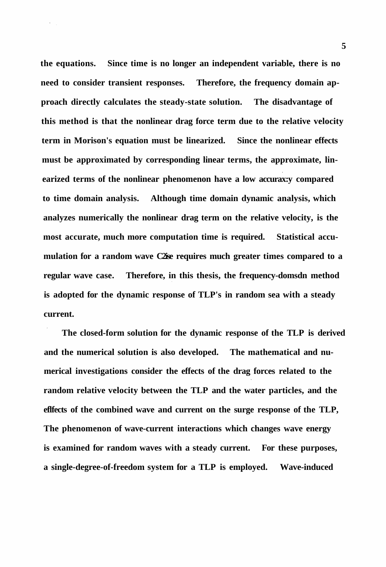**the equations. Since time is no longer an independent variable, there is no need to consider transient responses. Therefore, the frequency domain approach directly calculates the steady-state solution. The disadvantage of this method is that the nonlinear drag force term due to the relative velocity term in Morison's equation must be linearized. Since the nonlinear effects must be approximated by corresponding linear terms, the approximate, linearized terms of the nonlinear phenomenon have a low accurax:y compared to time domain analysis. Although time domain dynamic analysis, which analyzes numerically the nonlinear drag term on the relative velocity, is the most accurate, much more computation time is required. Statistical accumulation for a random wave C2ise requires much greater times compared to a regular wave case. Therefore, in this thesis, the frequency-domsdn method is adopted for the dynamic response of TLP's in random sea with a steady current.** 

**The closed-form solution for the dynamic response of the TLP is derived and the numerical solution is also developed. The mathematical and numerical investigations consider the effects of the drag forces related to the random relative velocity between the TLP and the water particles, and the eflfects of the combined wave and current on the surge response of the TLP, The phenomenon of wave-current interactions which changes wave energy is examined for random waves with a steady current. For these purposes, a single-degree-of-freedom system for a TLP is employed. Wave-induced**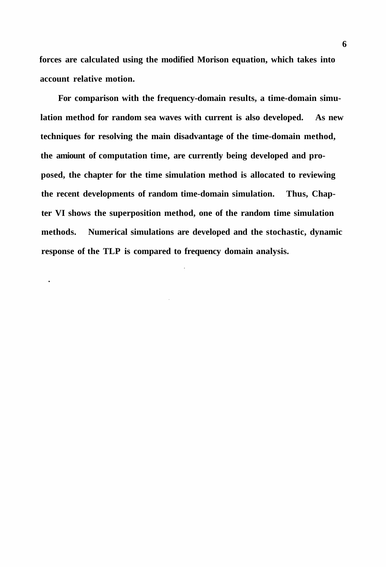**forces are calculated using the modified Morison equation, which takes into account relative motion.** 

**For comparison with the frequency-domain results, a time-domain simulation method for random sea waves with current is also developed. As new techniques for resolving the main disadvantage of the time-domain method, the amiount of computation time, are currently being developed and proposed, the chapter for the time simulation method is allocated to reviewing the recent developments of random time-domain simulation. Thus, Chapter VI shows the superposition method, one of the random time simulation methods. Numerical simulations are developed and the stochastic, dynamic response of the TLP is compared to frequency domain analysis.** 

 $\ddot{\phantom{0}}$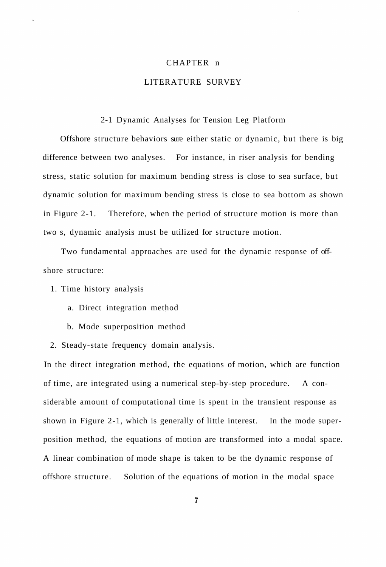### CHAPTER n

# LITERATURE SURVEY

### 2-1 Dynamic Analyses for Tension Leg Platform

Offshore structure behaviors sure either static or dynamic, but there is big difference between two analyses. For instance, in riser analysis for bending stress, static solution for maximum bending stress is close to sea surface, but dynamic solution for maximum bending stress is close to sea bottom as shown in Figure 2-1. Therefore, when the period of structure motion is more than two s, dynamic analysis must be utilized for structure motion.

Two fundamental approaches are used for the dynamic response of offshore structure:

1. Time history analysis

- a. Direct integration method
- b. Mode superposition method

2. Steady-state frequency domain analysis.

In the direct integration method, the equations of motion, which are function of time, are integrated using a numerical step-by-step procedure. A considerable amount of computational time is spent in the transient response as shown in Figure 2-1, which is generally of little interest. In the mode superposition method, the equations of motion are transformed into a modal space. A linear combination of mode shape is taken to be the dynamic response of offshore structure. Solution of the equations of motion in the modal space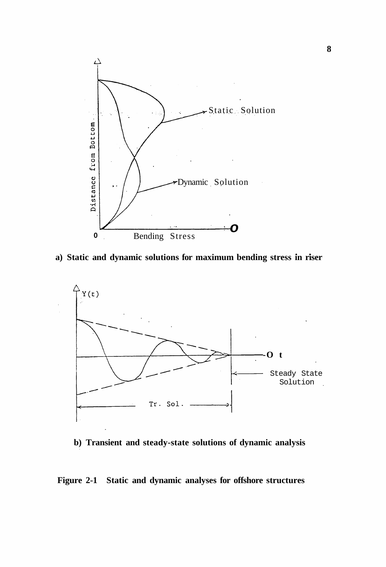

**• • a) Static and dynamic solutions for maximum bending stress in riser** 



**b) Transient and steady-state solutions of dynamic analysis** 

# **Figure 2-1 Static and dynamic analyses for offshore structures**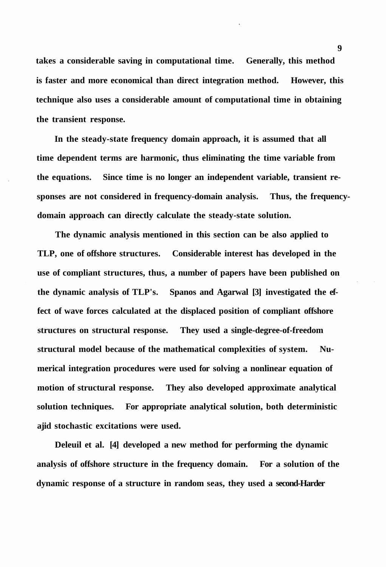**takes a considerable saving in computational time. Generally, this method is faster and more economical than direct integration method. However, this technique also uses a considerable amount of computational time in obtaining the transient response.** 

**In the steady-state frequency domain approach, it is assumed that all time dependent terms are harmonic, thus eliminating the time variable from the equations. Since time is no longer an independent variable, transient responses are not considered in frequency-domain analysis. Thus, the frequencydomain approach can directly calculate the steady-state solution.** 

**The dynamic analysis mentioned in this section can be also applied to TLP, one of offshore structures. Considerable interest has developed in the use of compliant structures, thus, a number of papers have been published on the dynamic analysis of TLP's. Spanos and Agarwal [3] investigated the effect of wave forces calculated at the displaced position of compliant offshore structures on structural response. They used a single-degree-of-freedom structural model because of the mathematical complexities of system. Numerical integration procedures were used for solving a nonlinear equation of motion of structural response. They also developed approximate analytical solution techniques. For appropriate analytical solution, both deterministic ajid stochastic excitations were used.** 

**Deleuil et al. [4] developed a new method for performing the dynamic analysis of offshore structure in the frequency domain. For a solution of the dynamic response of a structure in random seas, they used a second-Harder**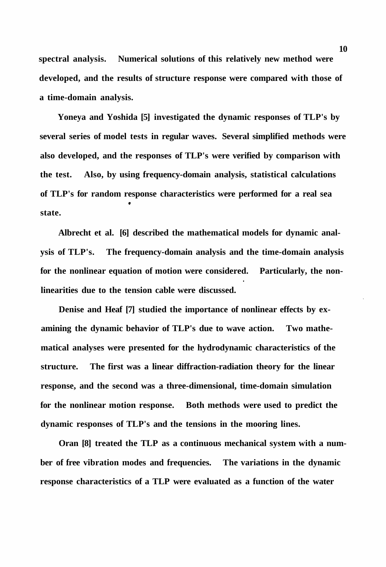**spectral analysis. Numerical solutions of this relatively new method were developed, and the results of structure response were compared with those of a time-domain analysis.** 

**Yoneya and Yoshida [5] investigated the dynamic responses of TLP's by several series of model tests in regular waves. Several simplified methods were also developed, and the responses of TLP's were verified by comparison with the test. Also, by using frequency-domain analysis, statistical calculations of TLP's for random response characteristics were performed for a real sea state.** 

**Albrecht et al. [6] described the mathematical models for dynamic analysis of TLP's. The frequency-domain analysis and the time-domain analysis for the nonlinear equation of motion were considered. Particularly, the nonlinearities due to the tension cable were discussed.** 

**Denise and Heaf [7] studied the importance of nonlinear effects by examining the dynamic behavior of TLP's due to wave action. Two mathematical analyses were presented for the hydrodynamic characteristics of the structure. The first was a linear diffraction-radiation theory for the linear response, and the second was a three-dimensional, time-domain simulation for the nonlinear motion response. Both methods were used to predict the dynamic responses of TLP's and the tensions in the mooring lines.** 

**Oran [8] treated the TLP as a continuous mechanical system with a number of free vibration modes and frequencies. The variations in the dynamic response characteristics of a TLP were evaluated as a function of the water**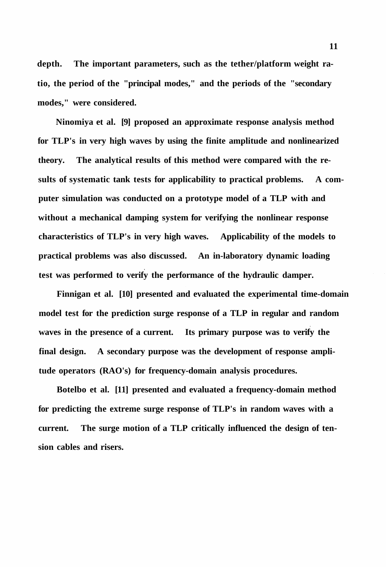**depth. The important parameters, such as the tether/platform weight ratio, the period of the "principal modes," and the periods of the "secondary modes," were considered.** 

**Ninomiya et al. [9] proposed an approximate response analysis method for TLP's in very high waves by using the finite amplitude and nonlinearized theory. The analytical results of this method were compared with the results of systematic tank tests for applicability to practical problems. A computer simulation was conducted on a prototype model of a TLP with and without a mechanical damping system for verifying the nonlinear response characteristics of TLP's in very high waves. Applicability of the models to practical problems was also discussed. An in-laboratory dynamic loading test was performed to verify the performance of the hydraulic damper.** 

**Finnigan et al. [10] presented and evaluated the experimental time-domain model test for the prediction surge response of a TLP in regular and random waves in the presence of a current. Its primary purpose was to verify the final design. A secondary purpose was the development of response amplitude operators (RAO's) for frequency-domain analysis procedures.** 

**Botelbo et al. [11] presented and evaluated a frequency-domain method for predicting the extreme surge response of TLP's in random waves with a current. The surge motion of a TLP critically influenced the design of tension cables and risers.**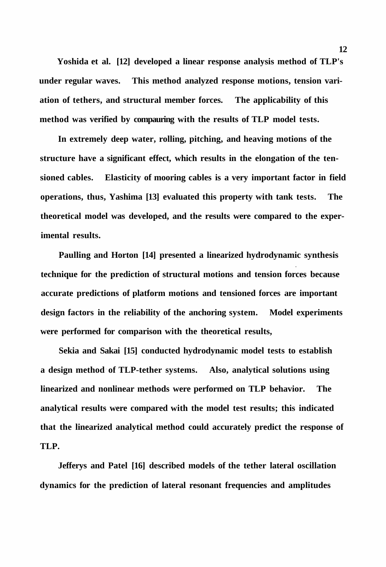**Yoshida et al. [12] developed a linear response analysis method of TLP's under regular waves. This method analyzed response motions, tension variation of tethers, and structural member forces. The applicability of this method was verified by compauring with the results of TLP model tests.** 

**In extremely deep water, rolling, pitching, and heaving motions of the structure have a significant effect, which results in the elongation of the tensioned cables. Elasticity of mooring cables is a very important factor in field operations, thus, Yashima [13] evaluated this property with tank tests. The theoretical model was developed, and the results were compared to the experimental results.** 

**Paulling and Horton [14] presented a linearized hydrodynamic synthesis technique for the prediction of structural motions and tension forces because accurate predictions of platform motions and tensioned forces are important design factors in the reliability of the anchoring system. Model experiments were performed for comparison with the theoretical results,** 

**Sekia and Sakai [15] conducted hydrodynamic model tests to establish a design method of TLP-tether systems. Also, analytical solutions using linearized and nonlinear methods were performed on TLP behavior. The analytical results were compared with the model test results; this indicated that the linearized analytical method could accurately predict the response of TLP.** 

**Jefferys and Patel [16] described models of the tether lateral oscillation dynamics for the prediction of lateral resonant frequencies and amplitudes**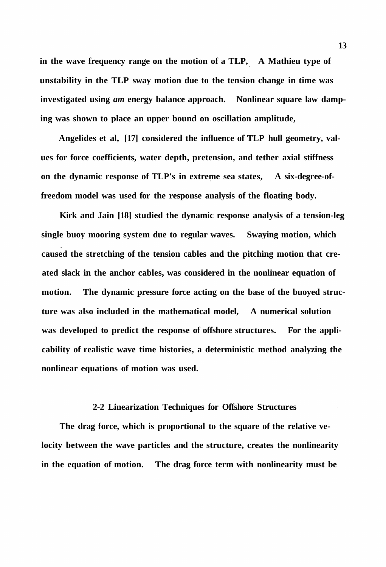**in the wave frequency range on the motion of a TLP, A Mathieu type of unstability in the TLP sway motion due to the tension change in time was investigated using** *am* **energy balance approach. Nonlinear square law damping was shown to place an upper bound on oscillation amplitude,** 

**Angelides et al, [17] considered the influence of TLP hull geometry, values for force coefficients, water depth, pretension, and tether axial stiffness on the dynamic response of TLP's in extreme sea states, A six-degree-offreedom model was used for the response analysis of the floating body.** 

**Kirk and Jain [18] studied the dynamic response analysis of a tension-leg single buoy mooring system due to regular waves. Swaying motion, which caused the stretching of the tension cables and the pitching motion that created slack in the anchor cables, was considered in the nonlinear equation of motion. The dynamic pressure force acting on the base of the buoyed structure was also included in the mathematical model, A numerical solution was developed to predict the response of offshore structures. For the applicability of realistic wave time histories, a deterministic method analyzing the nonlinear equations of motion was used.** 

### **2-2 Linearization Techniques for Offshore Structures**

**The drag force, which is proportional to the square of the relative velocity between the wave particles and the structure, creates the nonlinearity in the equation of motion. The drag force term with nonlinearity must be**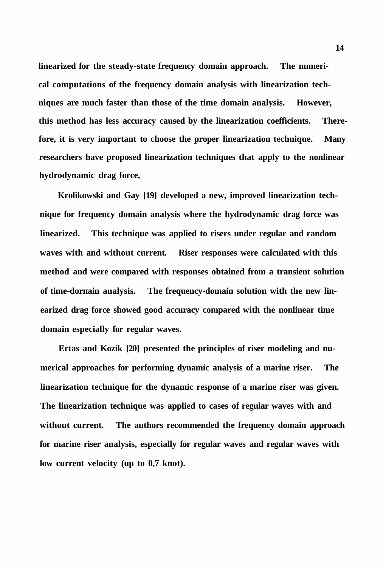**linearized for the steady-state frequency domain approach. The numerical computations of the frequency domain analysis with linearization techniques are much faster than those of the time domain analysis. However, this method has less accuracy caused by the linearization coefficients. Therefore, it is very important to choose the proper linearization technique. Many researchers have proposed linearization techniques that apply to the nonlinear hydrodynamic drag force,** 

**Krolikowski and Gay [19] developed a new, improved linearization technique for frequency domain analysis where the hydrodynamic drag force was linearized. This technique was applied to risers under regular and random waves with and without current. Riser responses were calculated with this method and were compared with responses obtained from a transient solution of time-dornain analysis. The frequency-domain solution with the new linearized drag force showed good accuracy compared with the nonlinear time domain especially for regular waves.** 

**Ertas and Kozik [20] presented the principles of riser modeling and numerical approaches for performing dynamic analysis of a marine riser. The linearization technique for the dynamic response of a marine riser was given. The linearization technique was applied to cases of regular waves with and without current. The authors recommended the frequency domain approach for marine riser analysis, especially for regular waves and regular waves with low current velocity (up to 0,7 knot).**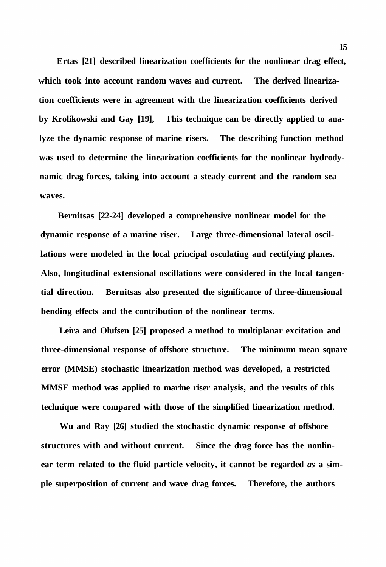**Ertas [21] described linearization coefficients for the nonlinear drag effect, which took into account random waves and current. The derived linearization coefficients were in agreement with the linearization coefficients derived by Krolikowski and Gay [19], This technique can be directly applied to analyze the dynamic response of marine risers. The describing function method was used to determine the linearization coefficients for the nonlinear hydrodynamic drag forces, taking into account a steady current and the random sea waves.** 

**Bernitsas [22-24] developed a comprehensive nonlinear model for the dynamic response of a marine riser. Large three-dimensional lateral oscillations were modeled in the local principal osculating and rectifying planes. Also, longitudinal extensional oscillations were considered in the local tangential direction. Bernitsas also presented the significance of three-dimensional bending effects and the contribution of the nonlinear terms.** 

**Leira and Olufsen [25] proposed a method to multiplanar excitation and three-dimensional response of offshore structure. The minimum mean square error (MMSE) stochastic linearization method was developed, a restricted MMSE method was applied to marine riser analysis, and the results of this technique were compared with those of the simplified linearization method.** 

**Wu and Ray [26] studied the stochastic dynamic response of offshore structures with and without current. Since the drag force has the nonlinear term related to the fluid particle velocity, it cannot be regarded** *as* **a simple superposition of current and wave drag forces. Therefore, the authors**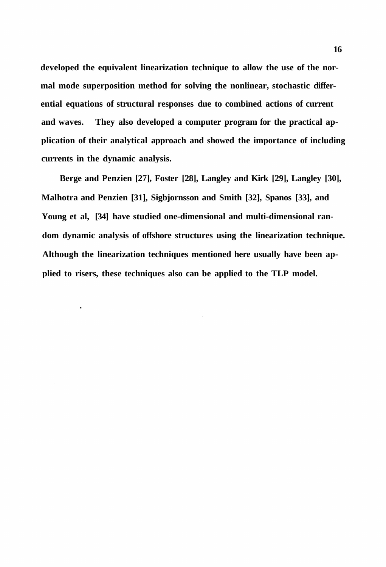**developed the equivalent linearization technique to allow the use of the normal mode superposition method for solving the nonlinear, stochastic differential equations of structural responses due to combined actions of current and waves. They also developed a computer program for the practical application of their analytical approach and showed the importance of including currents in the dynamic analysis.** 

**Berge and Penzien [27], Foster [28], Langley and Kirk [29], Langley [30], Malhotra and Penzien [31], Sigbjornsson and Smith [32], Spanos [33], and Young et al, [34] have studied one-dimensional and multi-dimensional random dynamic analysis of offshore structures using the linearization technique. Although the linearization techniques mentioned here usually have been applied to risers, these techniques also can be applied to the TLP model.** 

 $\bullet$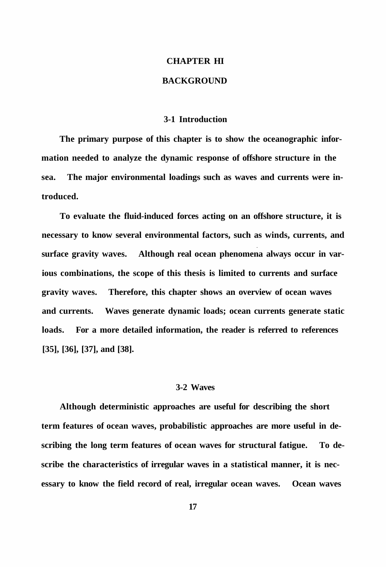# **CHAPTER HI**

## **BACKGROUND**

#### **3-1 Introduction**

**The primary purpose of this chapter is to show the oceanographic information needed to analyze the dynamic response of offshore structure in the sea. The major environmental loadings such as waves and currents were introduced.** 

**To evaluate the fluid-induced forces acting on an offshore structure, it is necessary to know several environmental factors, such as winds, currents, and surface gravity waves. Although real ocean phenomena always occur in various combinations, the scope of this thesis is limited to currents and surface gravity waves. Therefore, this chapter shows an overview of ocean waves and currents. Waves generate dynamic loads; ocean currents generate static loads. For a more detailed information, the reader is referred to references [35], [36], [37], and [38].** 

#### **3-2 Waves**

**Although deterministic approaches are useful for describing the short term features of ocean waves, probabilistic approaches are more useful in describing the long term features of ocean waves for structural fatigue. To describe the characteristics of irregular waves in a statistical manner, it is necessary to know the field record of real, irregular ocean waves. Ocean waves**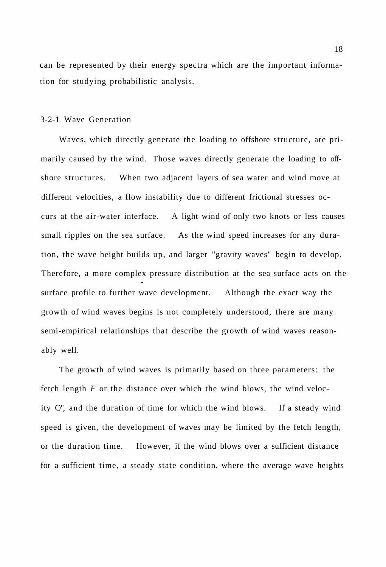can be represented by their energy spectra which are the important information for studying probabilistic analysis.

### 3-2-1 Wave Generation

Waves, which directly generate the loading to offshore structure, are primarily caused by the wind. Those waves directly generate the loading to offshore structures. When two adjacent layers of sea water and wind move at different velocities, a flow instability due to different frictional stresses occurs at the air-water interface. A light wind of only two knots or less causes small ripples on the sea surface. As the wind speed increases for any duration, the wave height builds up, and larger "gravity waves" begin to develop. Therefore, a more complex pressure distribution at the sea surface acts on the surface profile to further wave development. Although the exact way the growth of wind waves begins is not completely understood, there are many semi-empirical relationships that describe the growth of wind waves reasonably well.

The growth of wind waves is primarily based on three parameters: the fetch length *F* or the distance over which the wind blows, the wind velocity C/", and the duration of time for which the wind blows. If a steady wind speed is given, the development of waves may be limited by the fetch length, or the duration time. However, if the wind blows over a sufficient distance for a sufficient time, a steady state condition, where the average wave heights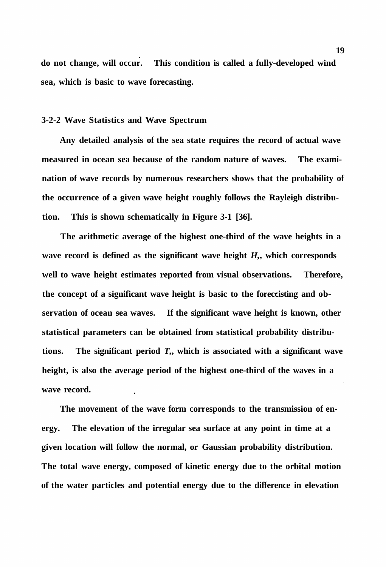**do not change, will occur. This condition is called a fully-developed wind sea, which is basic to wave forecasting.** 

### **3-2-2 Wave Statistics and Wave Spectrum**

**Any detailed analysis of the sea state requires the record of actual wave measured in ocean sea because of the random nature of waves. The examination of wave records by numerous researchers shows that the probability of the occurrence of a given wave height roughly follows the Rayleigh distribution. This is shown schematically in Figure 3-1 [36].** 

**The arithmetic average of the highest one-third of the wave heights in a wave record is defined as the significant wave height** *H,***, which corresponds well to wave height estimates reported from visual observations. Therefore, the concept of a significant wave height is basic to the foreccisting and observation of ocean sea waves. If the significant wave height is known, other statistical parameters can be obtained from statistical probability distributions. The significant period** *T,***, which is associated with a significant wave height, is also the average period of the highest one-third of the waves in a wave record.** 

**The movement of the wave form corresponds to the transmission of energy. The elevation of the irregular sea surface at any point in time at a given location will follow the normal, or Gaussian probability distribution. The total wave energy, composed of kinetic energy due to the orbital motion of the water particles and potential energy due to the difference in elevation**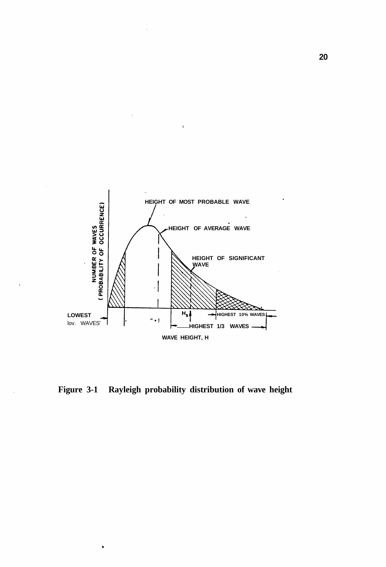

**Figure 3-1 Rayleigh probability distribution of wave height**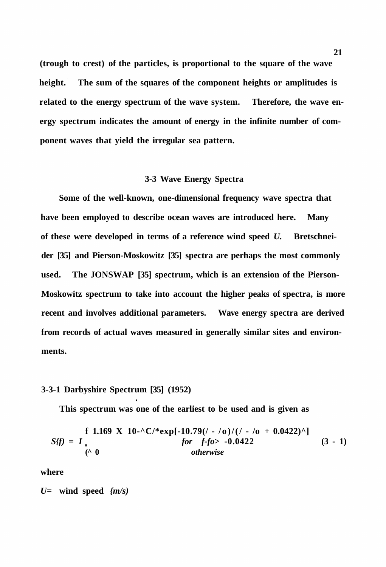**(trough to crest) of the particles, is proportional to the square of the wave height. The sum of the squares of the component heights or amplitudes is related to the energy spectrum of the wave system. Therefore, the wave energy spectrum indicates the amount of energy in the infinite number of component waves that yield the irregular sea pattern.** 

### **3-3 Wave Energy Spectra**

**Some of the well-known, one-dimensional frequency wave spectra that have been employed to describe ocean waves are introduced here. Many of these were developed in terms of a reference wind speed** *U.* **Bretschneider [35] and Pierson-Moskowitz [35] spectra are perhaps the most commonly used. The JONSWAP [35] spectrum, which is an extension of the Pierson-Moskowitz spectrum to take into account the higher peaks of spectra, is more recent and involves additional parameters. Wave energy spectra are derived from records of actual waves measured in generally similar sites and environments.** 

# **3-3-1 Darbyshire Spectrum [35] (1952)**

**This spectrum was one of the earliest to be used and is given as** 

$$
S\{f\} = I
$$
  
\n
$$
\begin{array}{rcl}\n\text{f } 1.169 \text{ X } 10-\text{C}/* \exp[-10.79((1-\text{10})(1-\text{10}+0.0422)^\wedge] \\
\text{for } f\text{-fo} > -0.0422 \\
\text{(0)} & \text{otherwise}\n\end{array}
$$
\n(3 - 1)

**where** 

*U=* **wind speed** *{m/s)*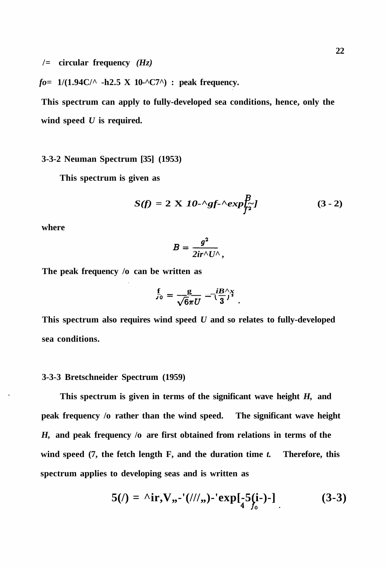**/= circular frequency** *(Hz)* 

*fo=* **1/(1.94C/^ -h2.5 X 10-^C7^) : peak frequency.** 

**This spectrum can apply to fully-developed sea conditions, hence, only the wind speed** *U* **is required.** 

# **3-3-2 Neuman Spectrum [35] (1953)**

**This spectrum is given as** 

$$
S(f) = 2 \mathbf{X} \mathbf{10} \cdot \alpha \mathbf{g} f \cdot \alpha \mathbf{x} p_{\mathbf{f} \mathbf{2}}^B \mathbf{I}
$$
 (3 - 2)

**where** 

$$
B=\frac{g^2}{2ir^{\wedge}U^{\wedge}},
$$

**The peak frequency /o can be written as** 

$$
\frac{f}{J_0} = \frac{g}{\sqrt{6}\pi U} = \left(\frac{iB}{3}\right)^x
$$

**This spectrum also requires wind speed** *U* **and so relates to fully-developed sea conditions.** 

### **3-3-3 Bretschneider Spectrum (1959)**

**This spectrum is given in terms of the significant wave height** *H,* **and peak frequency /o rather than the wind speed. The significant wave height**  *H,* **and peak frequency /o are first obtained from relations in terms of the wind speed (7, the fetch length F, and the duration time** *t.* **Therefore, this spectrum applies to developing seas and is written as** 

$$
5(l) = \text{``ir, V,,-'}(l/l/,,)-'\exp[-5(i-)-]
$$
 (3-3)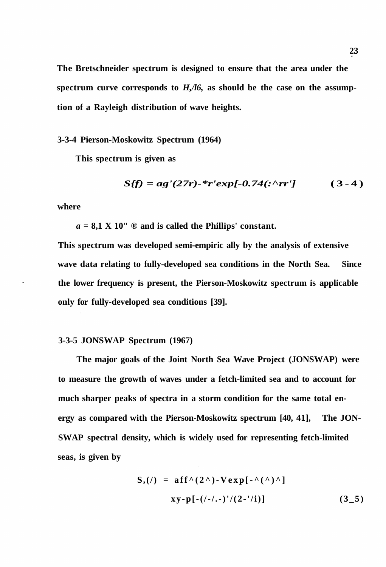**The Bretschneider spectrum is designed to ensure that the area under the spectrum curve corresponds to** *H,/l6,* **as should be the case on the assumption of a Rayleigh distribution of wave heights.** 

**3-3-4 Pierson-Moskowitz Spectrum (1964)** 

**This spectrum is given as** 

$$
S(f) = ag'(27r) - \frac{k}{r} \exp[-0.74(\div \wedge rr') \qquad (3-4)
$$

**where** 

 $a = 8.1$  X 10"  $\odot$  and is called the Phillips' constant.

**This spectrum was developed semi-empiric ally by the analysis of extensive wave data relating to fully-developed sea conditions in the North Sea. Since the lower frequency is present, the Pierson-Moskowitz spectrum is applicable only for fully-developed sea conditions [39].** 

### **3-3-5 JONSWAP Spectrum (1967)**

**The major goals of the Joint North Sea Wave Project (JONSWAP) were to measure the growth of waves under a fetch-limited sea and to account for much sharper peaks of spectra in a storm condition for the same total energy as compared with the Pierson-Moskowitz spectrum [40, 41], The JON-SWAP spectral density, which is widely used for representing fetch-limited seas, is given by** 

$$
S_{1}(t) = \text{aff}^{\wedge} (2^{\wedge}) - V \exp[-\wedge (\wedge)^{\wedge}]
$$
  
xy-p[-(t-1,-)'/(2-1)] (3-5)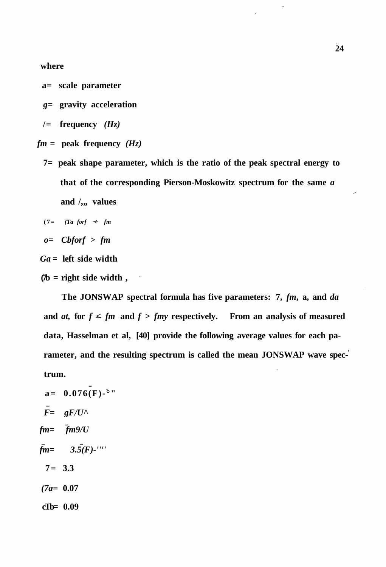**where** 

- **a= scale parameter**
- *g=* **gravity acceleration**
- **/= frequency** *(Hz)*
- $fm =$  peak frequency  $(Hz)$ 
	- **7= peak shape parameter, which is the ratio of the peak spectral energy to that of the corresponding Pierson-Moskowitz spectrum for the same** *a*  and /,,, values

$$
(7 = (Ta\;for\;f \;\prec\;fm
$$

$$
o = \text{Cbfor} f > \text{fm}
$$

*Ga =* **left side width** 

**(7b = right side width ,** 

**The JONSWAP spectral formula has five parameters: 7,** *fm***, a, and** *da*  and *at*, for  $f \leq fm$  and  $f > fmy$  respectively. From an analysis of measured **data, Hasselman et al, [40] provide the following average values for each parameter, and the resulting spectrum is called the mean JONSWAP wave spectrum.** 

 $a= 0.076(F)$ -<sup>o</sup>"  $\overline{F}$  =  $gF/U^{\wedge}$ *fm= fm9/U*   $\bar{f}m=3.5(F)$ -'''' **7= 3.3**  *(7a=* **0.07 cTb= 0.09**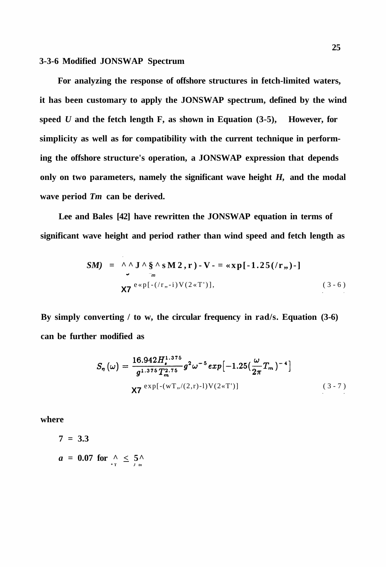# **3-3-6 Modified JONSWAP Spectrum**

**For analyzing the response of offshore structures in fetch-limited waters, it has been customary to apply the JONSWAP spectrum, defined by the wind speed** *U* **and the fetch length F, as shown in Equation (3-5), However, for simplicity as well as for compatibility with the current technique in performing the offshore structure's operation, a JONSWAP expression that depends only on two parameters, namely the significant wave height** *H,* **and the modal wave period** *Tm* **can be derived.** 

**Lee and Bales [42] have rewritten the JONSWAP equation in terms of significant wave height and period rather than wind speed and fetch length as** 

$$
SM) = \Lambda \Lambda J \Lambda \S \Lambda s M 2, r) - V - = \exp[-1.25(\pi, -1)]
$$
  
 
$$
X7 e^{\exp[-(\pi, -1) V (2 \times T')]},
$$
 (3-6)

**By simply converting / to w, the circular frequency in rad/s. Equation (3-6) can be further modified as** 

$$
S_{\eta}(\omega) = \frac{16.942 H_{\bullet}^{1.375}}{g^{1.375} T_{m}^{2.75}} g^{2} \omega^{-5} exp[-1.25(\frac{\omega}{2\pi}T_{m})^{-4}]
$$
  
X7 <sup>exp[-(WT,/(2,r)-1)V(2\*T')] (3-7)</sup>

**where** 

**7 = 3.3**   $a = 0.07$  for  $\frac{\wedge}{\sqrt{1}} \leq \frac{5}{\sqrt{1}}$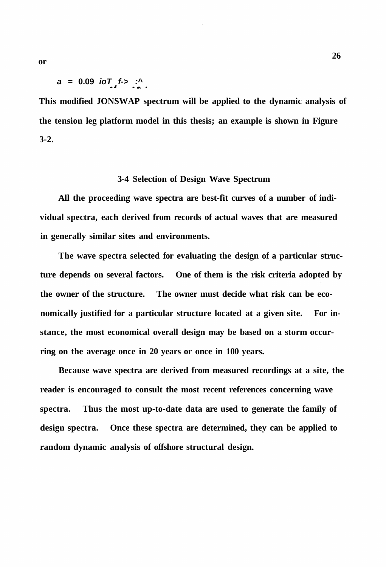**This modified JONSWAP spectrum will be applied to the dynamic analysis of the tension leg platform model in this thesis; an example is shown in Figure 3-2.** 

## **3-4 Selection of Design Wave Spectrum**

**All the proceeding wave spectra are best-fit curves of a number of individual spectra, each derived from records of actual waves that are measured in generally similar sites and environments.** 

**The wave spectra selected for evaluating the design of a particular structure depends on several factors. One of them is the risk criteria adopted by the owner of the structure. The owner must decide what risk can be economically justified for a particular structure located at a given site. For instance, the most economical overall design may be based on a storm occurring on the average once in 20 years or once in 100 years.** 

**Because wave spectra are derived from measured recordings at a site, the reader is encouraged to consult the most recent references concerning wave spectra. Thus the most up-to-date data are used to generate the family of design spectra. Once these spectra are determined, they can be applied to random dynamic analysis of offshore structural design.**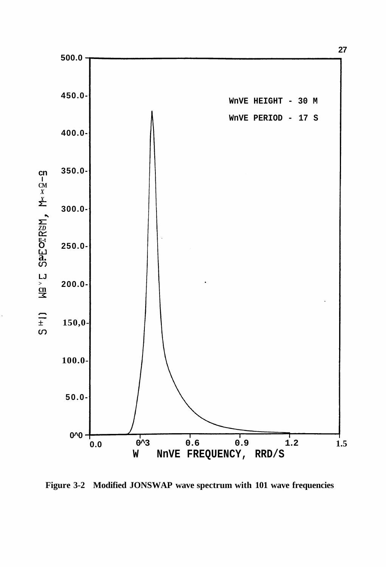

**Figure 3-2 Modified JONSWAP wave spectrum with 101 wave frequencies**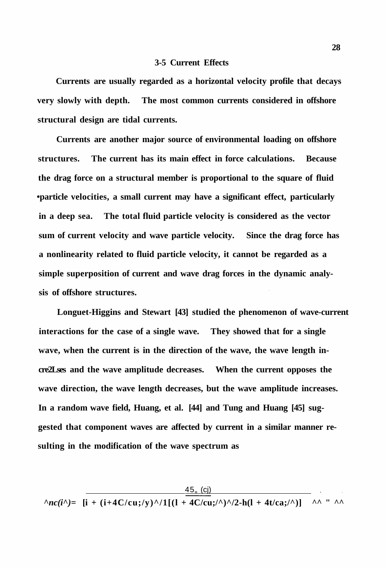#### **3-5 Current Effects**

**Currents are usually regarded as a horizontal velocity profile that decays very slowly with depth. The most common currents considered in offshore structural design are tidal currents.** 

**Currents are another major source of environmental loading on offshore structures. The current has its main effect in force calculations. Because the drag force on a structural member is proportional to the square of fluid •particle velocities, a small current may have a significant effect, particularly in a deep sea. The total fluid particle velocity is considered as the vector sum of current velocity and wave particle velocity. Since the drag force has a nonlinearity related to fluid particle velocity, it cannot be regarded as a simple superposition of current and wave drag forces in the dynamic analysis of offshore structures.** 

**Longuet-Higgins and Stewart [43] studied the phenomenon of wave-current interactions for the case of a single wave. They showed that for a single wave, when the current is in the direction of the wave, the wave length incre2Lses and the wave amplitude decreases. When the current opposes the wave direction, the wave length decreases, but the wave amplitude increases. In a random wave field, Huang, et al. [44] and Tung and Huang [45] suggested that component waves are affected by current in a similar manner resulting in the modification of the wave spectrum as** 

$$
\wedge nc(i^{\wedge}) = \frac{45, (c))}{[i + (i + 4C/cu; /y)^{\wedge}/1[(1 + 4C/cu; /{\wedge})^{\wedge}/2 - h(1 + 4t/ca; /{\wedge})]} \wedge \wedge \cdots \wedge
$$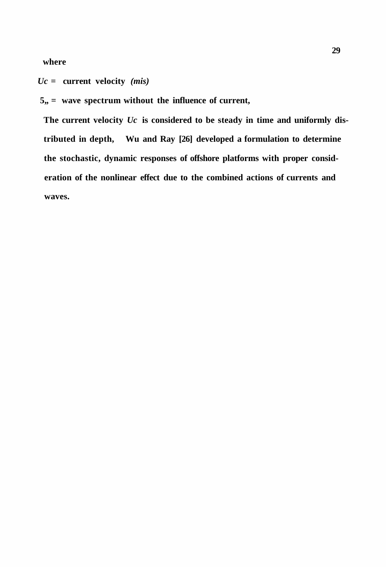**where** 

*Uc* **= current velocity** *(mis)* 

5,, = wave spectrum without the influence of current,

**The current velocity** *Uc* **is considered to be steady in time and uniformly distributed in depth, Wu and Ray [26] developed a formulation to determine the stochastic, dynamic responses of offshore platforms with proper consideration of the nonlinear effect due to the combined actions of currents and waves.**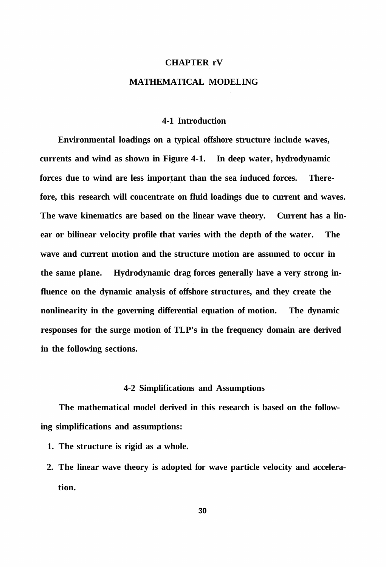# **CHAPTER rV MATHEMATICAL MODELING**

## **4-1 Introduction**

**Environmental loadings on a typical offshore structure include waves, currents and wind as shown in Figure 4-1. In deep water, hydrodynamic forces due to wind are less important than the sea induced forces. Therefore, this research will concentrate on fluid loadings due to current and waves. The wave kinematics are based on the linear wave theory. Current has a linear or bilinear velocity profile that varies with the depth of the water. The wave and current motion and the structure motion are assumed to occur in the same plane. Hydrodynamic drag forces generally have a very strong influence on the dynamic analysis of offshore structures, and they create the nonlinearity in the governing differential equation of motion. The dynamic responses for the surge motion of TLP's in the frequency domain are derived in the following sections.** 

## **4-2 Simplifications and Assumptions**

**The mathematical model derived in this research is based on the following simplifications and assumptions:** 

- **1. The structure is rigid as a whole.**
- **2. The linear wave theory is adopted for wave particle velocity and acceleration.**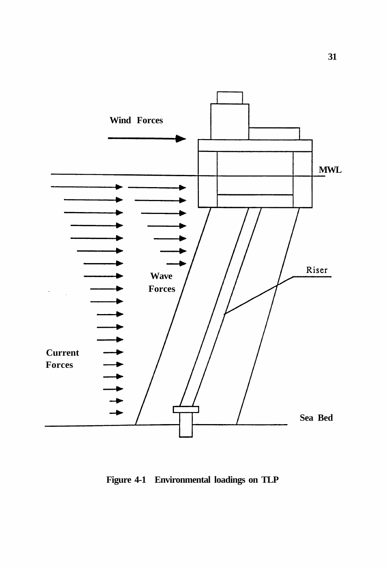

**Figure 4-1 Environmental loadings on TLP**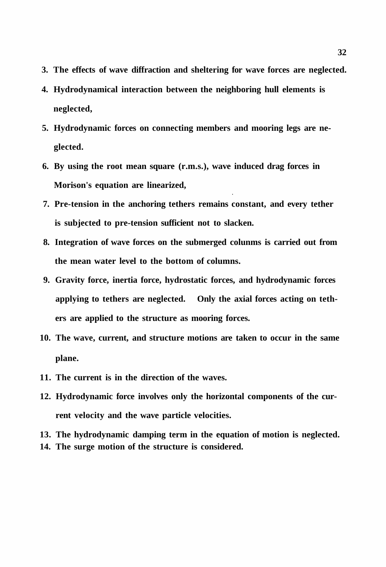- **3. The effects of wave diffraction and sheltering for wave forces are neglected.**
- **4. Hydrodynamical interaction between the neighboring hull elements is neglected,**
- **5. Hydrodynamic forces on connecting members and mooring legs are neglected.**
- **6. By using the root mean square (r.m.s.), wave induced drag forces in Morison's equation are linearized,**
- **7. Pre-tension in the anchoring tethers remains constant, and every tether is subjected to pre-tension sufficient not to slacken.**
- **8. Integration of wave forces on the submerged colunms is carried out from the mean water level to the bottom of columns.**
- **9. Gravity force, inertia force, hydrostatic forces, and hydrodynamic forces applying to tethers are neglected. Only the axial forces acting on tethers are applied to the structure as mooring forces.**
- **10. The wave, current, and structure motions are taken to occur in the same plane.**
- **11. The current is in the direction of the waves.**
- **12. Hydrodynamic force involves only the horizontal components of the current velocity and the wave particle velocities.**
- **13. The hydrodynamic damping term in the equation of motion is neglected.**
- **14. The surge motion of the structure is considered.**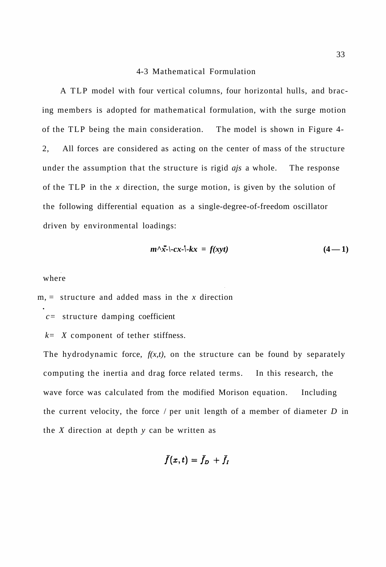#### 4-3 Mathematical Formulation

A TLP model with four vertical columns, four horizontal hulls, and bracing members is adopted for mathematical formulation, with the surge motion of the TLP being the main consideration. The model is shown in Figure 4- 2, All forces are considered as acting on the center of mass of the structure under the assumption that the structure is rigid *ajs* a whole. The response of the TLP in the *x* direction, the surge motion, is given by the solution of the following differential equation as a single-degree-of-freedom oscillator driven by environmental loadings:

$$
m^{\wedge} \ddot{x} - (-cx - (-kx) = f(xyt) \tag{4-1}
$$

where

m, = structure and added mass in the *x* direction

*c=* structure damping coefficient

*k= X* component of tether stiffness.

The hydrodynamic force,  $f(x,t)$ , on the structure can be found by separately computing the inertia and drag force related terms. In this research, the wave force was calculated from the modified Morison equation. Including the current velocity, the force / per unit length of a member of diameter *D* in the *X* direction at depth *y* can be written as

$$
\bar{f}(x,t)=\bar{f}_D\,+\bar{f}_I
$$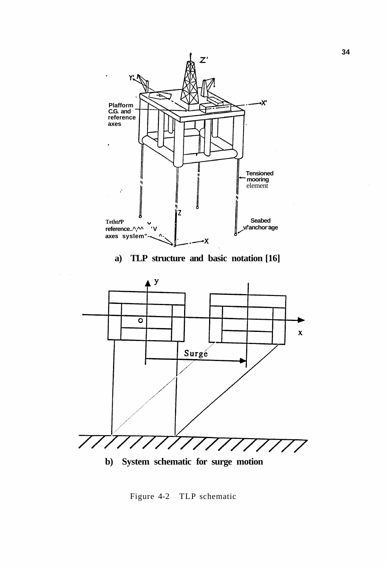

**a) TLP structure and basic notation [16]** 

 $\hat{\mathcal{L}}$ 



**b) System schematic for surge motion** 

Figure 4-2 TLP schematic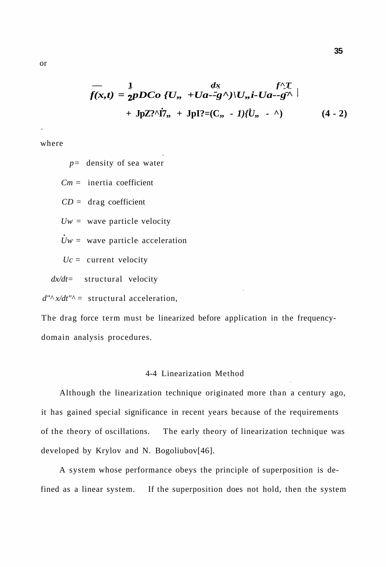$$
f(x,t) = \frac{1}{2pDCo} \{U_{,}, +Ua-\overline{g}^{\wedge}\}\big|_{L, i-Ua-\overline{g}^{\wedge}} \Big|_{L}^{f^{\wedge}T} + JpZ_{,}^{\wedge}T_{, \gamma} + JpI_{,}^{\wedge} = (C_{,}, -1)\{U_{,}, -\wedge\} \Big|_{L}^{f^{\wedge}T} \Big|_{L}^{2}
$$
 (4 - 2)

where

*p=* density of sea water

*Cm* = inertia coefficient

 $CD = \text{drag coefficient}$ 

*Uw =* wave particle velocity

 $Uw =$  wave particle acceleration

 $Uc =$  current velocity

*dx/dt=* structural velocity

 $d''^{\wedge} x/dt''^{\wedge} =$  structural acceleration,

The drag force term must be linearized before application in the frequencydomain analysis procedures.

## 4-4 Linearization Method

Although the linearization technique originated more than a century ago, it has gained special significance in recent years because of the requirements of the theory of oscillations. The early theory of linearization technique was developed by Krylov and N. Bogoliubov[46].

A system whose performance obeys the principle of superposition is defined as a linear system. If the superposition does not hold, then the system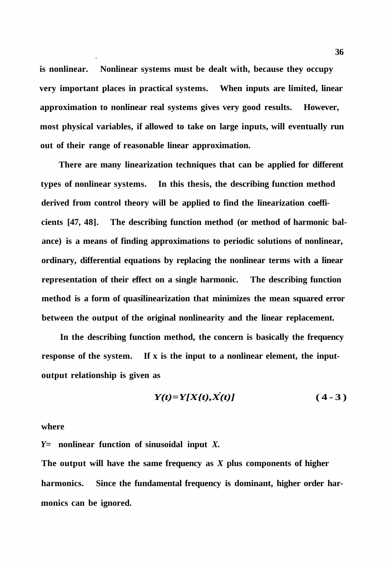**is nonlinear. Nonlinear systems must be dealt with, because they occupy very important places in practical systems. When inputs are limited, linear approximation to nonlinear real systems gives very good results. However, most physical variables, if allowed to take on large inputs, will eventually run out of their range of reasonable linear approximation.** 

**There are many linearization techniques that can be applied for different types of nonlinear systems. In this thesis, the describing function method derived from control theory will be applied to find the linearization coefficients [47, 48]. The describing function method (or method of harmonic balance) is a means of finding approximations to periodic solutions of nonlinear, ordinary, differential equations by replacing the nonlinear terms with a linear representation of their effect on a single harmonic. The describing function method is a form of quasilinearization that minimizes the mean squared error between the output of the original nonlinearity and the linear replacement.** 

**In the describing function method, the concern is basically the frequency response of the system. If x is the input to a nonlinear element, the inputoutput relationship is given as** 

$$
Y(t)=Y[X(t),X(t)]\tag{4-3}
$$

#### **where**

*Y=* **nonlinear function of sinusoidal input** *X.* 

**The output will have the same frequency as** *X* **plus components of higher harmonics. Since the fundamental frequency is dominant, higher order harmonics can be ignored.**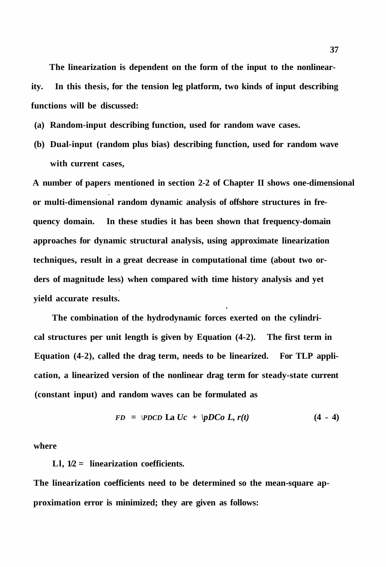**The linearization is dependent on the form of the input to the nonlinearity. In this thesis, for the tension leg platform, two kinds of input describing functions will be discussed:** 

- **(a) Random-input describing function, used for random wave cases.**
- **(b) Dual-input (random plus bias) describing function, used for random wave with current cases,**

**A number of papers mentioned in section 2-2 of Chapter II shows one-dimensional or multi-dimensional random dynamic analysis of offshore structures in frequency domain. In these studies it has been shown that frequency-domain approaches for dynamic structural analysis, using approximate linearization techniques, result in a great decrease in computational time (about two orders of magnitude less) when compared with time history analysis and yet yield accurate results.** 

**The combination of the hydrodynamic forces exerted on the cylindrical structures per unit length is given by Equation (4-2). The first term in Equation (4-2), called the drag term, needs to be linearized. For TLP application, a linearized version of the nonlinear drag term for steady-state current (constant input) and random waves can be formulated as** 

$$
FD = \text{PDCD} \text{ La } Uc + \text{PDCo } L, r(t) \tag{4 - 4}
$$

**where** 

**Ll, 1/2 = linearization coefficients.** 

**The linearization coefficients need to be determined so the mean-square approximation error is minimized; they are given as follows:**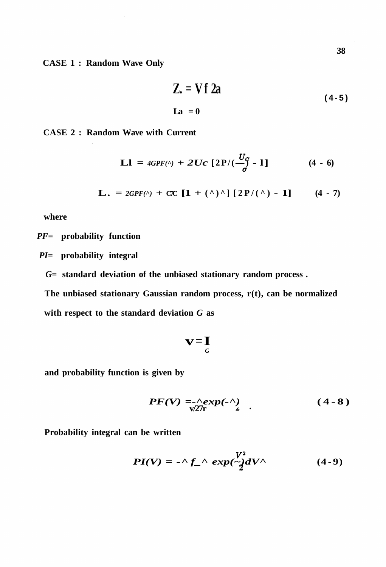**CASE 1 : Random Wave Only** 

$$
Z = Vf 2a \qquad (4-5)
$$
  
La = 0

**CASE 2 : Random Wave with Current** 

**L1** = 
$$
4GPF(\Lambda) + 2Uc [2P/(\frac{U_C}{\sigma} - 1]
$$
 (4 - 6)

**L.** = 
$$
2GPF(\Lambda) + CC [1 + (\Lambda) \Lambda] [2P/(\Lambda) - 1]
$$
 (4 - 7)

**where** 

*PF=* **probability function** 

- *PI=* **probability integral** 
	- *G=* **standard deviation of the unbiased stationary random process .**

**The unbiased stationary Gaussian random process, r(t), can be normalized with respect to the standard deviation** *G* **as** 

$$
\mathbf{v} = \mathbf{I}_G
$$

**and probability function is given by** 

$$
PF(V) = \frac{\Lambda}{\sqrt{2}} exp(-\frac{\Lambda}{2}). \qquad (4-8)
$$

**Probability integral can be written** 

$$
PI(V) = -\Lambda f \Lambda \exp\left(\frac{V^2}{2} dV^{\Lambda}\right) \tag{4-9}
$$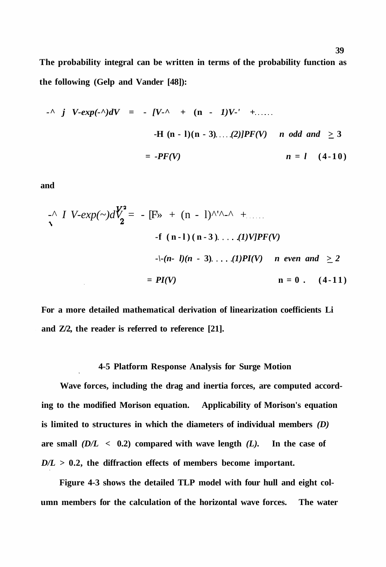**The probability integral can be written in terms of the probability function as the following (Gelp and Vander [48]):** 

$$
I - N \quad j \quad V \text{-}exp(-\Lambda)dV = - [V - N + (n - 1)V - N + \dots]
$$
  
-H (n - 1)(n - 3)....(2)]PF(V) *n* odd and  $\geq 3$   
= -PF(V) *n* = 1 (4-10)

**and** 

$$
I \ V\text{-}exp(-)dV_{2}^{2} = -[F \gg + (n-1)^{1/2} - 1 + \dots
$$
  
-f (n-1) (n-3) ... (1) VJPF(V)  
-(- (n-1)(n-3) ... (1) PI(V) *n even and*  $\geq 2$   
= PI(V)   
 n = 0 . (4-11)

**For a more detailed mathematical derivation of linearization coefficients Li and Z/2, the reader is referred to reference [21].** 

#### **4-5 Platform Response Analysis for Surge Motion**

**Wave forces, including the drag and inertia forces, are computed according to the modified Morison equation. Applicability of Morison's equation is limited to structures in which the diameters of individual members** *(D)*  are small  $(D/L < 0.2)$  compared with wave length  $(L)$ . In the case of *D/L >* **0.2, the diffraction effects of members become important.** 

**Figure 4-3 shows the detailed TLP model with four hull and eight column members for the calculation of the horizontal wave forces. The water**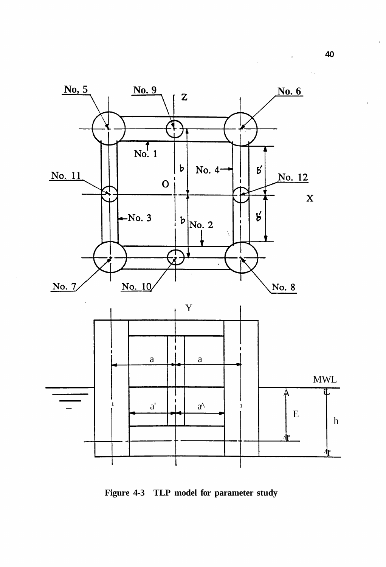

**Figure 4-3 TLP model for parameter study**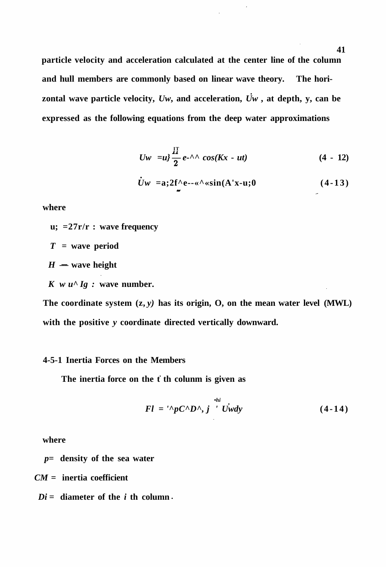**particle velocity and acceleration calculated at the center line of the column and hull members are commonly based on linear wave theory. The hori**zontal wave particle velocity,  $Uw$ , and acceleration,  $\dot{U}w$ , at depth, y, can be **expressed as the following equations from the deep water approximations** 

$$
Uw = u^2 \frac{H}{2} e^{-\Lambda} \cos(Kx - ut)
$$
 (4 - 12)

$$
\dot{U}w = a; 2f^{\wedge}e^{-\kappa \wedge} \sin(A'x-u; 0) \qquad (4-13)
$$

**where** 

**u; =27r/r : wave frequency** 

$$
T = wave period
$$

 $H =$  **wave height** 

 $K$  *w*  $u^{\wedge}Ig$  : wave number.

The coordinate system  $(z, y)$  has its origin, O, on the mean water level  $(MWL)$ **with the positive** *y* **coordinate directed vertically downward.** 

# **4-5-1 Inertia Forces on the Members**

The inertia force on the t th colunm is given as

$$
Fl = \sqrt[p]{pC^{\wedge}D^{\wedge}}, j \sqrt[p]{\sqrt[p]{y}} \qquad (4-14)
$$

**where** 

*p=* **density of the sea water** 

*CM* **= inertia coefficient** 

 $Di =$  **diameter of the** *i* **th column.**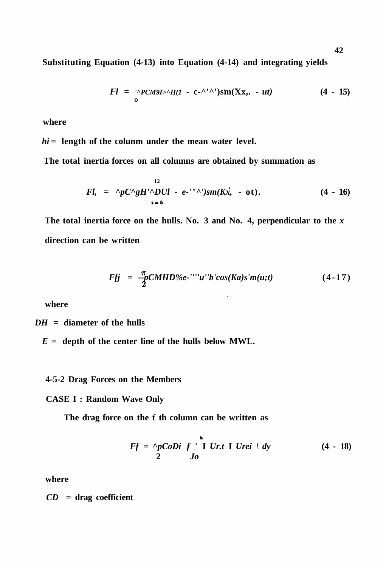**Substituting Equation (4-13) into Equation (4-14) and integrating yields** 

$$
Fl = \frac{1}{2} \cdot \frac{PCM9I}{1 - C} - \frac{1}{2} \cdot \frac{1}{2} \cdot \frac{1}{2} \cdot \frac{1}{2} \cdot \frac{1}{2} \cdot \frac{1}{2} \cdot \frac{1}{2} \cdot \frac{1}{2} \cdot \frac{1}{2} \cdot \frac{1}{2} \cdot \frac{1}{2} \cdot \frac{1}{2} \cdot \frac{1}{2} \cdot \frac{1}{2} \cdot \frac{1}{2} \cdot \frac{1}{2} \cdot \frac{1}{2} \cdot \frac{1}{2} \cdot \frac{1}{2} \cdot \frac{1}{2} \cdot \frac{1}{2} \cdot \frac{1}{2} \cdot \frac{1}{2} \cdot \frac{1}{2} \cdot \frac{1}{2} \cdot \frac{1}{2} \cdot \frac{1}{2} \cdot \frac{1}{2} \cdot \frac{1}{2} \cdot \frac{1}{2} \cdot \frac{1}{2} \cdot \frac{1}{2} \cdot \frac{1}{2} \cdot \frac{1}{2} \cdot \frac{1}{2} \cdot \frac{1}{2} \cdot \frac{1}{2} \cdot \frac{1}{2} \cdot \frac{1}{2} \cdot \frac{1}{2} \cdot \frac{1}{2} \cdot \frac{1}{2} \cdot \frac{1}{2} \cdot \frac{1}{2} \cdot \frac{1}{2} \cdot \frac{1}{2} \cdot \frac{1}{2} \cdot \frac{1}{2} \cdot \frac{1}{2} \cdot \frac{1}{2} \cdot \frac{1}{2} \cdot \frac{1}{2} \cdot \frac{1}{2} \cdot \frac{1}{2} \cdot \frac{1}{2} \cdot \frac{1}{2} \cdot \frac{1}{2} \cdot \frac{1}{2} \cdot \frac{1}{2} \cdot \frac{1}{2} \cdot \frac{1}{2} \cdot \frac{1}{2} \cdot \frac{1}{2} \cdot \frac{1}{2} \cdot \frac{1}{2} \cdot \frac{1}{2} \cdot \frac{1}{2} \cdot \frac{1}{2} \cdot \frac{1}{2} \cdot \frac{1}{2} \cdot \frac{1}{2} \cdot \frac{1}{2} \cdot \frac{1}{2} \cdot \frac{1}{2} \cdot \frac{1}{2} \cdot \frac{1}{2} \cdot \frac{1}{2} \cdot \frac{1}{2} \cdot \frac{1}{2} \cdot \frac{1}{2} \cdot \frac{1}{2} \cdot \frac{1}{2
$$

**where** 

*hi* **= length of the colunm under the mean water level.** 

**The total inertia forces on all columns are obtained by summation as** 

$$
Fl, = \, ^{12}pC^{\wedge}gH'^{\wedge}DUl - e^{-\cdots}{}^{\wedge})sm(Kx, - ot).
$$
\n(4 - 16)

**The total inertia force on the hulls. No. 3 and No. 4, perpendicular to the** *x*  **direction can be written** 

$$
Fjj = -\frac{\pi}{2} C MHD\%e^{-\frac{1}{2}}' u'' b' cos(Ka)s'm(u;t)
$$
 (4-17)

**where** 

*DH =* **diameter of the hulls** 

*E =* **depth of the center line of the hulls below MWL.** 

## **4-5-2 Drag Forces on the Members**

## **CASE I : Random Wave Only**

The drag force on the f th column can be written as

$$
Ff = \begin{array}{c} \stackrel{\bullet}{\wedge} pCoDi & f \ \end{array} \begin{array}{c} \stackrel{\bullet}{\sqcup} \ \text{I} \ \text{Ur.t} \ \text{I} \ \text{Urei} \ \end{array} \begin{array}{c} \text{d} \ \text{d} \ \text{y} \end{array} \tag{4 - 18}
$$

**where** 

*CD* **= drag coefficient**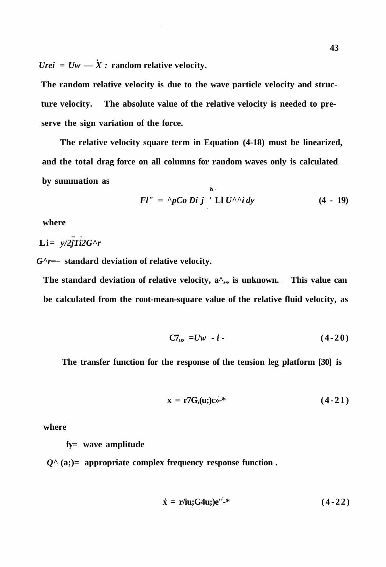*Urei* =  $Uw - \dot{X}$ : random relative velocity.

**The random relative velocity is due to the wave particle velocity and structure velocity. The absolute value of the relative velocity is needed to preserve the sign variation of the force.** 

**The relative velocity square term in Equation (4-18) must be linearized, and the total drag force on all columns for random waves only is calculated by summation as**   $\mathbf{h}$ .

$$
Fl'' = \Delta pCo \ Di \ j \ \ Ll \ U^{\wedge} \ \ i \ dy \tag{4 - 19}
$$

**where** 

Li=  $y/2jTi2G^r$ 

*G^r—* **standard deviation of relative velocity.** 

The standard deviation of relative velocity, a<sup> $\wedge$ </sup>,., is unknown. This value can **be calculated from the root-mean-square value of the relative fluid velocity, as** 

$$
C7_{12} = Uw - i - (4-20)
$$

**The transfer function for the response of the tension leg platform [30] is** 

$$
\mathbf{x} = \mathbf{r}^{\prime} \mathbf{G}, \mathbf{u}; \mathbf{c}^{\prime} \mathbf{c}^{\prime} \tag{4-21}
$$

**where** 

**fy= wave amplitude** 

*Q^* **(a;)= appropriate complex frequency response function .** 

$$
\dot{\mathbf{x}} = \mathbf{r}/\mathbf{i}\mathbf{u}; \mathbf{G}^2\mathbf{u}; \mathbf{e}^{\mathbf{u}^2\mathbf{e}^*} \tag{4-22}
$$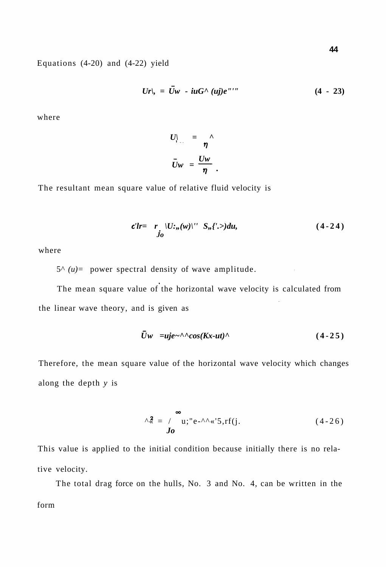Equations (4-20) and (4-22) yield

$$
Ur|_{y} = \bar{U}w - iuG^{\wedge}(uj)e^{\gamma\gamma\gamma}
$$
 (4 - 23)

where

$$
U_{\parallel} = \frac{1}{\eta} \hat{U}W = \frac{UW}{\eta}.
$$

The resultant mean square value of relative fluid velocity is

$$
c'lr = r \cdot |U(:,(w)|' S,,(k-) du, \qquad (4-24)
$$

where

 $5^{\wedge}$  (*u*) = power spectral density of wave amplitude.

The mean square value of the horizontal wave velocity is calculated from the linear wave theory, and is given as

$$
\bar{U}w = uje^{-\Lambda} \cos(Kx-ut)^{\Lambda}
$$
 (4-25)

Therefore, the mean square value of the horizontal wave velocity which changes along the depth *y* is

$$
\wedge^2 \leq \int_0^\infty u; \, u \, e^{-\Lambda} \wedge \langle 5, r f(j). \tag{4-26}
$$

This value is applied to the initial condition because initially there is no relative velocity.

The total drag force on the hulls, No. 3 and No. 4, can be written in the form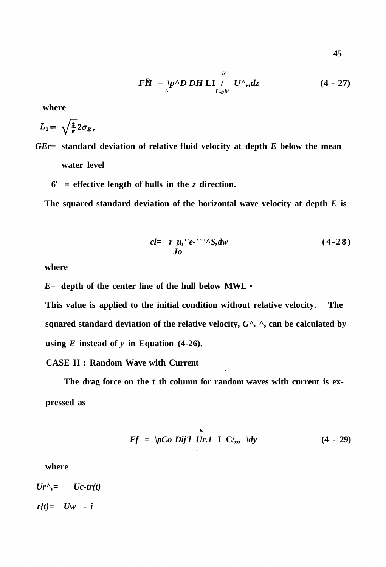**45** 

$$
\mathbf{F}\mathbf{H} = \left\langle \mathbf{p}^{\wedge} \mathbf{D} \mathbf{D} \mathbf{H} \mathbf{L} \mathbf{I} \right\rangle_{J \cdot bh'} U^{\wedge}, dz \qquad (4 - 27)
$$

**where** 

$$
L_1 = \sqrt{\frac{2}{\pi}} 2 \sigma_E.
$$

- *GEr=* **standard deviation of relative fluid velocity at depth** *E* **below the mean water level** 
	- **6' = effective length of hulls in the** *z* **direction.**

**The squared standard deviation of the horizontal wave velocity at depth** *E* **is** 

$$
cl = r \mu, \nu' e^{-\nu \nu \wedge} S, dw \qquad (4-28)
$$

**where** 

*E=* **depth of the center line of the hull below MWL •** 

**This value is applied to the initial condition without relative velocity. The squared standard deviation of the relative velocity,** *G^. ^***, can be calculated by**  using  $E$  instead of  $y$  in Equation (4-26).

**CASE II : Random Wave with Current** 

The drag force on the f th column for random waves with current is ex**pressed as** 

$$
Ff = \left| pCo\ Dij'l\ Ur.1 \right| \left| \right| C', \quad \left| dy \right| \tag{4 - 29}
$$

**where** 

 $Ur^{\wedge}$ =  $Uc$ -tr(t) *r{t)= Uw - i*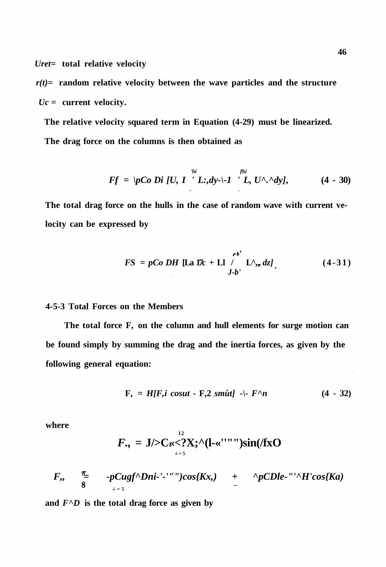*Uret=* **total relative velocity** 

 $r(t)$ = random relative velocity between the wave particles and the structure *Uc* **= current velocity.** 

**The relative velocity squared term in Equation (4-29) must be linearized. The drag force on the columns is then obtained as** 

$$
Ff = \{pCo \ Di \ [U, I \ ]' L; dy - \} - I \ ]^{fhi}_{L} U^{\wedge} \ ^{\wedge} dy], \qquad (4 - 30)
$$

**The total drag force on the hulls in the case of random wave with current velocity can be expressed by** 

$$
FS = pCoDH \left[\text{La } \text{17c} + \text{Li} \middle| \right]_{J-b'}^{b'} \left[\text{L}^{\wedge}, dz\right]. \tag{4-31}
$$

# **4-5-3 Total Forces on the Members**

**The total force F, on the column and hull elements for surge motion can be found simply by summing the drag and the inertia forces, as given by the following general equation:** 

$$
F_{\gamma} = H[F, i \ cosut - F, 2, smitt] - [-F^{\wedge} n \qquad (4 - 32)
$$

**where** 

$$
F_{\cdot}, = J/\!\!>\!\!C_{\ll}<^2 \!\!X; \hat{}\,\! (I-\ll^{\prime\prime\prime\prime\prime\prime\prime})\sin(\ell f_{X}O)
$$

$$
F_{\cdot}, \quad \frac{\pi}{8} \quad -pCugf^{\wedge}Dni\cdot\cdot\cdot\cdot\cdot\cdot Dos\{Kx,\} \quad + \quad \hat{p}CDle\cdot\cdot\cdot\cdot\cdot H'cos\{Ka\}
$$

and  $F^{\wedge}D$  is the total drag force as given by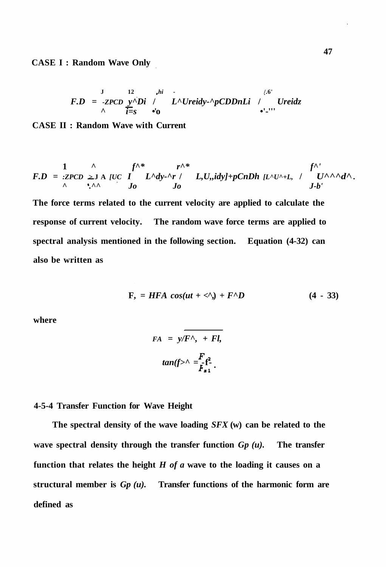**CASE I : Random Wave Only** 

$$
F.D = -ZPCD \underbrace{y}{\underset{\wedge}{\sum}} \underbrace{N}Di \quad / \quad L^{\wedge}Ureidy \cdot \underset{\wedge}{\sum}DnLi \quad / \quad Ureidz
$$

**CASE II : Random Wave with Current** 

$$
F.D = \frac{1}{2\pi C D} \sum_{i=1}^{N} A \underbrace{IC}_{i=1} \underbrace{I^{N*}}_{j_0} L^{\wedge} dy \cdot \stackrel{r^{N*}}{\wedge} L, U, idy \rightarrow pCnDh \underbrace{[L^{\wedge} U^{\wedge} + L, I]}_{j-b'} \underbrace{f^{\wedge}}_{J-b'}.
$$

**The force terms related to the current velocity are applied to calculate the response of current velocity. The random wave force terms are applied to spectral analysis mentioned in the following section. Equation (4-32) can also be written as** 

$$
F_2 = HFA \cos(ut + 4) + F^{\wedge}D \qquad (4 - 33)
$$

**where** 

$$
FA = y/F^{\wedge}, + Fl,
$$

$$
tan(f^{\wedge}) \sim \frac{F}{F_{\pmb{x}}^2}.
$$

**4-5-4 Transfer Function for Wave Height** 

**The spectral density of the wave loading** *SFX* **(w) can be related to the wave spectral density through the transfer function** *Gp (u).* **The transfer function that relates the height** *H of a* **wave to the loading it causes on a structural member is** *Gp (u).* **Transfer functions of the harmonic form are defined as**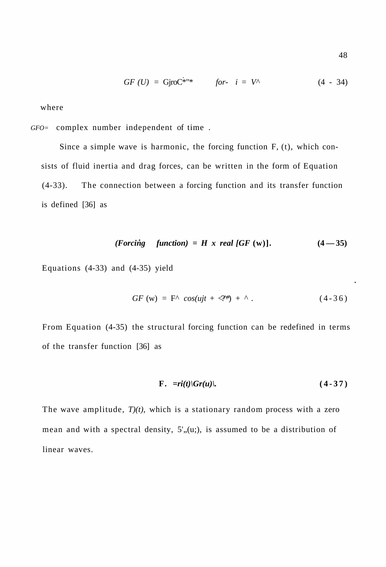$$
GF (U) = GjroC^{*''*} \t for i = V^{\wedge} \t (4 - 34)
$$

where

*GFO=* complex number independent of time .

Since a simple wave is harmonic, the forcing function F, (t), which consists of fluid inertia and drag forces, can be written in the form of Equation (4-33). The connection between a forcing function and its transfer function is defined [36] as

$$
(Forcing function) = H \times real [GF (w)]. \qquad (4-35)
$$

Equations (4-33) and (4-35) yield

$$
GF(w) = F^{\wedge} cos(ujt + \langle N^{\ast} \rangle) + {\wedge}. \qquad (4-36)
$$

From Equation (4-35) the structural forcing function can be redefined in terms of the transfer function [36] as

$$
F. \quad =ri(t)|Gr(u)|. \tag{4-37}
$$

The wave amplitude, *T)(t),* which is a stationary random process with a zero mean and with a spectral density,  $5'$ , (u;), is assumed to be a distribution of linear waves.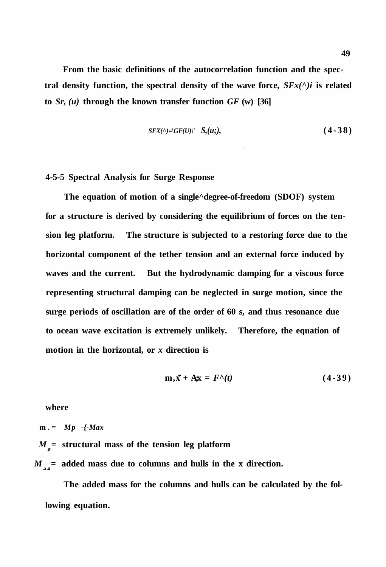**From the basic definitions of the autocorrelation function and the spec**tral density function, the spectral density of the wave force,  $S F x(^{\wedge})i$  is related **to** *Sr, (u)* **through the known transfer function** *GF* **(w) [36]** 

$$
SFX(\wedge)=|GF(U)|' \quad S,(u;), \qquad (4-38)
$$

#### **4-5-5 Spectral Analysis for Surge Response**

**The equation of motion of a single^degree-of-freedom (SDOF) system for a structure is derived by considering the equilibrium of forces on the tension leg platform. The structure is subjected to a restoring force due to the horizontal component of the tether tension and an external force induced by waves and the current. But the hydrodynamic damping for a viscous force representing structural damping can be neglected in surge motion, since the surge periods of oscillation are of the order of 60 s, and thus resonance due to ocean wave excitation is extremely unlikely. Therefore, the equation of motion in the horizontal, or** *x* **direction is** 

$$
\mathbf{m}, \mathbf{x} + \mathbf{A}\mathbf{x} = F^{\wedge}(t) \tag{4-39}
$$

**where** 

**m . =** *Mp -{-Max*   $M_{\text{R}}$  = structural mass of the tension leg platform

 $M_{.27}$  added mass due to columns and hulls in the x direction.

**The added mass for the columns and hulls can be calculated by the following equation.**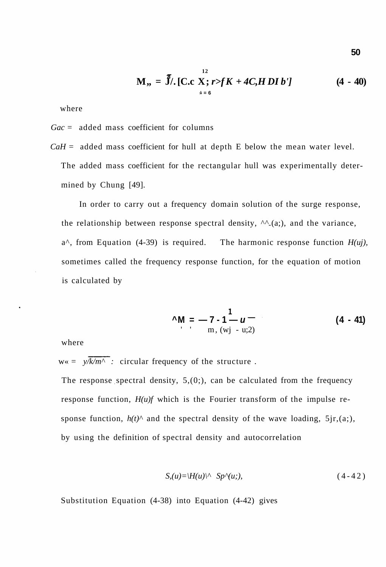$$
M_{\nu} = \int_{0}^{T} J / [C.c X; r > f K + 4C, H DI b'] \qquad (4 - 40)
$$

where

*Gac* = added mass coefficient for columns

 $CaH =$  added mass coefficient for hull at depth E below the mean water level. The added mass coefficient for the rectangular hull was experimentally determined by Chung [49].

In order to carry out a frequency domain solution of the surge response, the relationship between response spectral density,  $\Lambda$ <sup> $\Lambda$ </sup>.(a;), and the variance, a^, from Equation (4-39) is required. The harmonic response function *H(uj),*  sometimes called the frequency response function, for the equation of motion is calculated by

$$
^{\mathsf{A}}\mathsf{M} = -7 \cdot 1 - u - \quad (4 - 41)
$$
  
 
$$
^{\mathsf{B}} \mathsf{m}, \, (\text{wj} - \text{u;2})
$$

where

 $w \ll 2 \sqrt{k/m^{\Lambda}}$ : circular frequency of the structure.

The response spectral density,  $5(0;),$  can be calculated from the frequency response function, *H(u)f* which is the Fourier transform of the impulse response function,  $h(t)$ <sup> $\wedge$ </sup> and the spectral density of the wave loading, 5jr,(a;), by using the definition of spectral density and autocorrelation

$$
S_{n}(u) = \langle H(u) \rangle^{\wedge} \quad Sp^{\wedge}(u;), \tag{4-42}
$$

Substitution Equation (4-38) into Equation (4-42) gives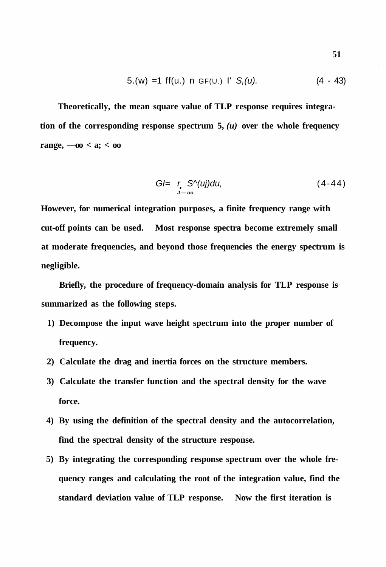5.(w) =1 ff(u.) n GF(u.) I' S,(u). 
$$
(4 - 43)
$$

**Theoretically, the mean square value of TLP response requires integration of the corresponding response spectrum 5,**  $(u)$  over the whole frequency **range,**  $-00 < a$ **;**  $< 00$ 

$$
GI = r \cdot S^{\wedge}(uj)du, \qquad (4-44)
$$

**However, for numerical integration purposes, a finite frequency range with cut-off points can be used. Most response spectra become extremely small at moderate frequencies, and beyond those frequencies the energy spectrum is negligible.** 

**Briefly, the procedure of frequency-domain analysis for TLP response is summarized as the following steps.** 

- **1) Decompose the input wave height spectrum into the proper number of frequency.**
- **2) Calculate the drag and inertia forces on the structure members.**
- **3) Calculate the transfer function and the spectral density for the wave force.**
- **4) By using the definition of the spectral density and the autocorrelation, find the spectral density of the structure response.**
- **5) By integrating the corresponding response spectrum over the whole frequency ranges and calculating the root of the integration value, find the standard deviation value of TLP response. Now the first iteration is**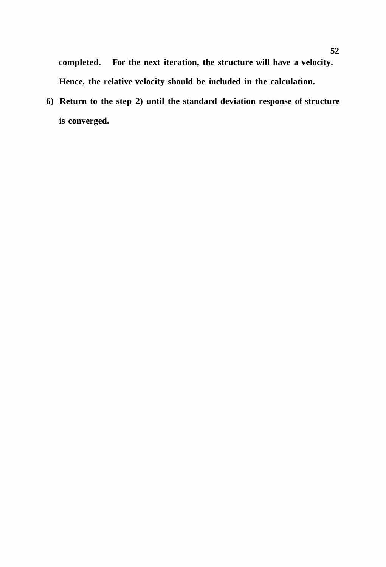**completed. For the next iteration, the structure will have a velocity. Hence, the relative velocity should be included in the calculation.** 

**6) Return to the step 2) until the standard deviation response of structure is converged.**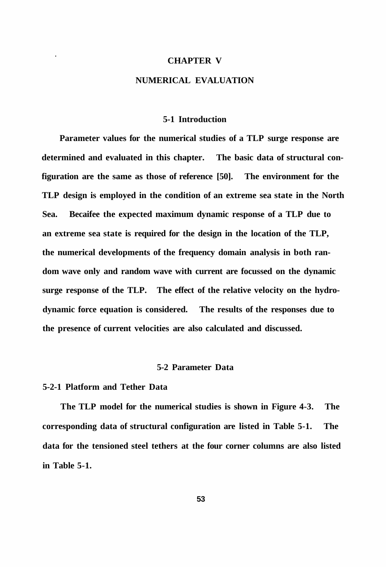#### **CHAPTER V**

# **NUMERICAL EVALUATION**

#### **5-1 Introduction**

**Parameter values for the numerical studies of a TLP surge response are determined and evaluated in this chapter. The basic data of structural configuration are the same as those of reference [50]. The environment for the TLP design is employed in the condition of an extreme sea state in the North Sea. Becaifee the expected maximum dynamic response of a TLP due to an extreme sea state is required for the design in the location of the TLP, the numerical developments of the frequency domain analysis in both random wave only and random wave with current are focussed on the dynamic surge response of the TLP. The effect of the relative velocity on the hydrodynamic force equation is considered. The results of the responses due to the presence of current velocities are also calculated and discussed.** 

## **5-2 Parameter Data**

## **5-2-1 Platform and Tether Data**

**The TLP model for the numerical studies is shown in Figure 4-3. The corresponding data of structural configuration are listed in Table 5-1. The data for the tensioned steel tethers at the four corner columns are also listed in Table 5-1.**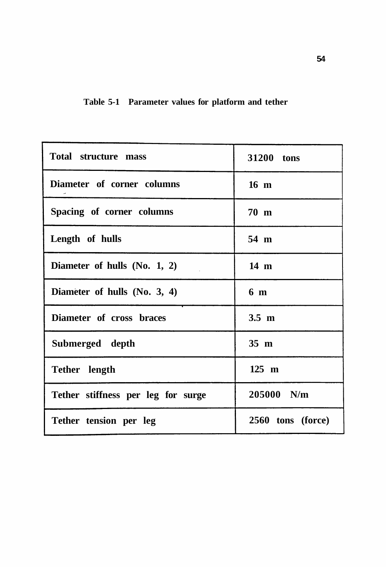|  | Table 5-1 Parameter values for platform and tether |  |  |  |  |  |
|--|----------------------------------------------------|--|--|--|--|--|
|--|----------------------------------------------------|--|--|--|--|--|

| <b>Total structure mass</b>        | 31200 tons        |  |  |
|------------------------------------|-------------------|--|--|
| Diameter of corner columns         | $16 \text{ m}$    |  |  |
| Spacing of corner columns          | 70 m              |  |  |
| Length of hulls                    | 54 m              |  |  |
| Diameter of hulls (No. 1, 2)       | 14 m              |  |  |
| Diameter of hulls (No. 3, 4)       | 6 <sub>m</sub>    |  |  |
| Diameter of cross braces           | $3.5 \text{ m}$   |  |  |
| Submerged depth                    | $35 \text{ m}$    |  |  |
| Tether length                      | 125 m             |  |  |
| Tether stiffness per leg for surge | 205000 N/m        |  |  |
| Tether tension per leg             | 2560 tons (force) |  |  |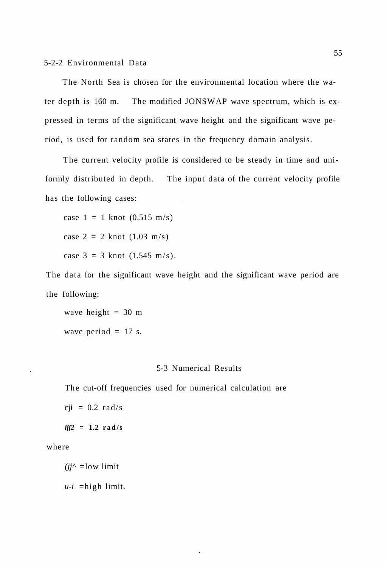The North Sea is chosen for the environmental location where the water depth is 160 m. The modified JONSWAP wave spectrum, which is expressed in terms of the significant wave height and the significant wave period, is used for random sea states in the frequency domain analysis.

The current velocity profile is considered to be steady in time and uniformly distributed in depth. The input data of the current velocity profile has the following cases:

case  $1 = 1$  knot  $(0.515 \text{ m/s})$ case  $2 = 2$  knot  $(1.03 \text{ m/s})$ case  $3 = 3$  knot  $(1.545 \text{ m/s})$ .

The data for the significant wave height and the significant wave period are the following:

wave height  $= 30$  m wave period  $= 17$  s.

# 5-3 Numerical Results

The cut-off frequencies used for numerical calculation are

 $cji = 0.2$  rad/s

*ijj2 =* **1.2 rad/s** 

where

 $(jj^{\wedge} =$ low limit

*u-i* =high limit.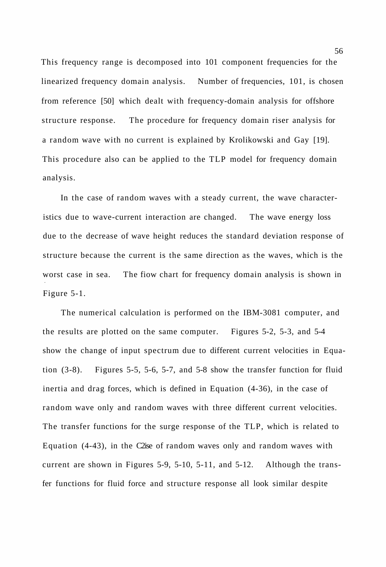This frequency range is decomposed into 101 component frequencies for the linearized frequency domain analysis. Number of frequencies, 101, is chosen from reference [50] which dealt with frequency-domain analysis for offshore structure response. The procedure for frequency domain riser analysis for a random wave with no current is explained by Krolikowski and Gay [19]. This procedure also can be applied to the TLP model for frequency domain analysis.

In the case of random waves with a steady current, the wave characteristics due to wave-current interaction are changed. The wave energy loss due to the decrease of wave height reduces the standard deviation response of structure because the current is the same direction as the waves, which is the worst case in sea. The fiow chart for frequency domain analysis is shown in Figure 5-1.

The numerical calculation is performed on the IBM-3081 computer, and the results are plotted on the same computer. Figures 5-2, 5-3, and 5-4 show the change of input spectrum due to different current velocities in Equation (3-8). Figures 5-5, 5-6, 5-7, and 5-8 show the transfer function for fluid inertia and drag forces, which is defined in Equation (4-36), in the case of random wave only and random waves with three different current velocities. The transfer functions for the surge response of the TLP, which is related to Equation (4-43), in the C2ise of random waves only and random waves with current are shown in Figures 5-9, 5-10, 5-11, and 5-12. Although the transfer functions for fluid force and structure response all look similar despite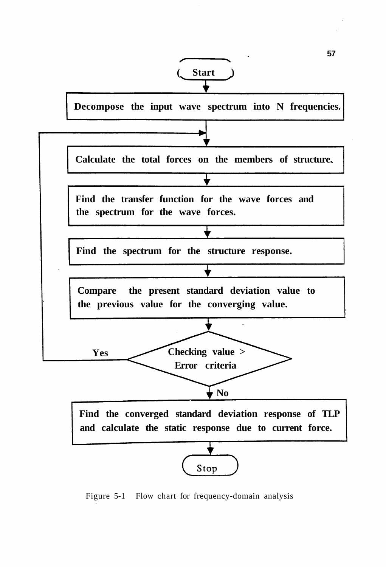

Figure 5-1 Flow chart for frequency-domain analysis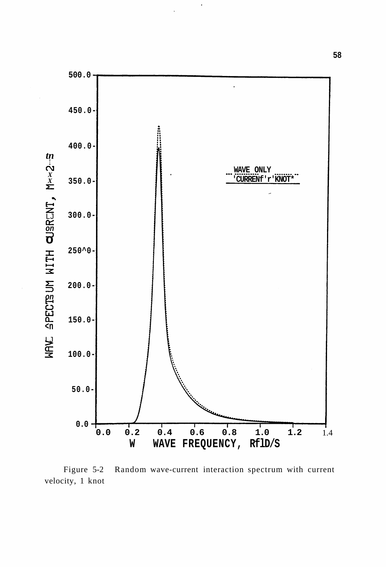

 $\ddot{\phantom{0}}$ 

Figure 5-2 Random wave-current interaction spectrum with current velocity, 1 knot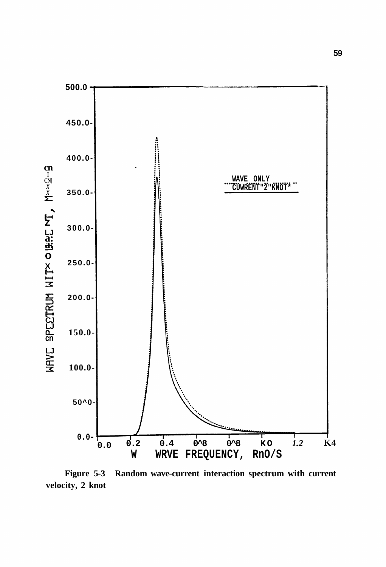

**Figure 5-3 Random wave-current interaction spectrum with current velocity, 2 knot**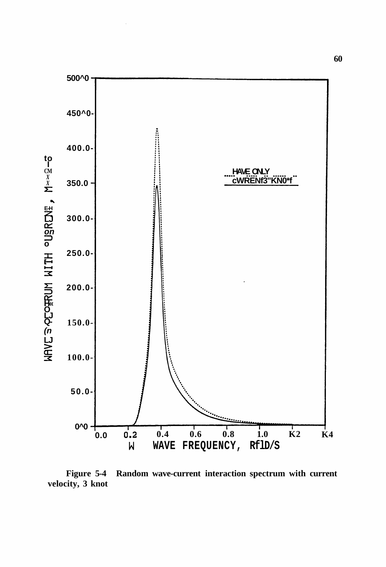

**Figure 5-4 Random wave-current interaction spectrum with current velocity, 3 knot**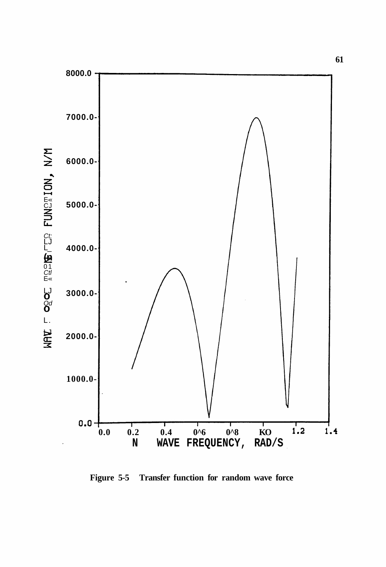

**Figure 5-5 Transfer function for random wave force**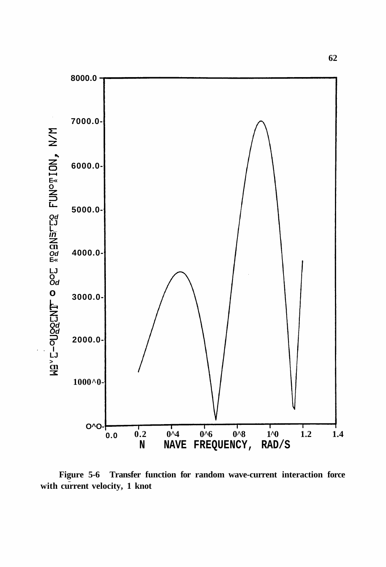

**Figure 5-6 Transfer function for random wave-current interaction force with current velocity, 1 knot**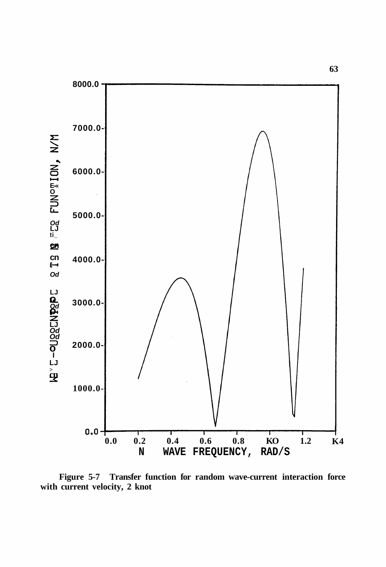

**Figure 5-7 Transfer function for random wave-current interaction force with current velocity, 2 knot**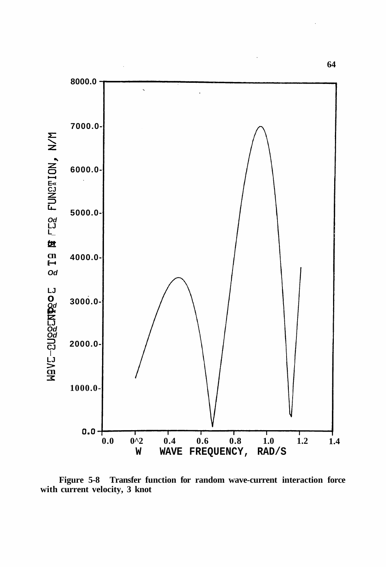

**Figure 5-8 Transfer function for random wave-current interaction force with current velocity, 3 knot**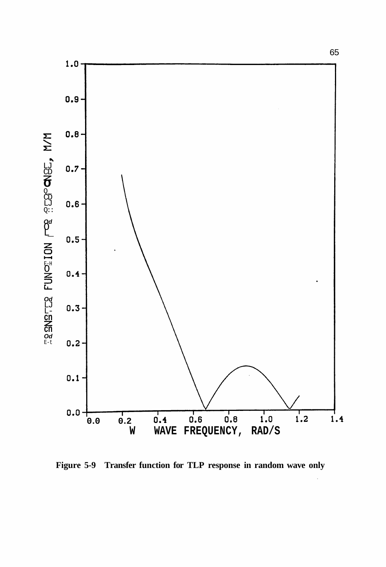

**Figure 5-9 Transfer function for TLP response in random wave only**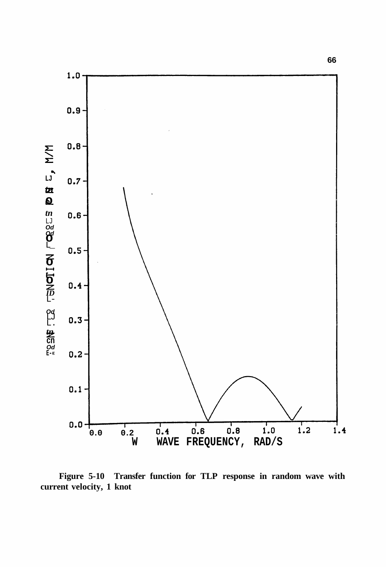

Figure 5-10 Transfer function for TLP response in random wave with current velocity, 1 knot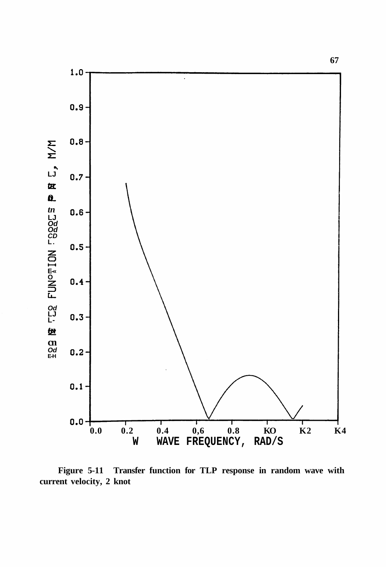

**Figure 5-11 Transfer function for TLP response in random wave with current velocity, 2 knot**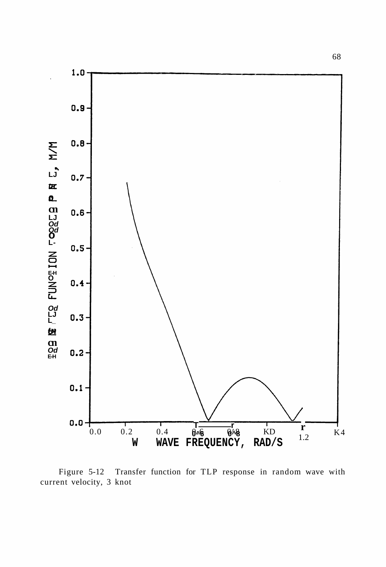

Figure 5-12 Transfer function for TLP response in random wave with current velocity, 3 knot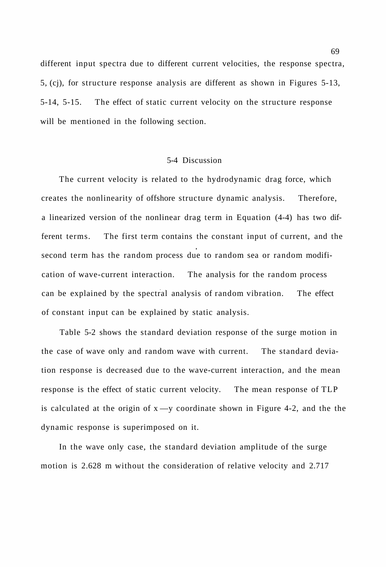different input spectra due to different current velocities, the response spectra, 5, (cj), for structure response analysis are different as shown in Figures 5-13, 5-14, 5-15. The effect of static current velocity on the structure response will be mentioned in the following section.

# 5-4 Discussion

The current velocity is related to the hydrodynamic drag force, which creates the nonlinearity of offshore structure dynamic analysis. Therefore, a linearized version of the nonlinear drag term in Equation (4-4) has two different terms. The first term contains the constant input of current, and the second term has the random process due to random sea or random modification of wave-current interaction. The analysis for the random process can be explained by the spectral analysis of random vibration. The effect of constant input can be explained by static analysis.

Table 5-2 shows the standard deviation response of the surge motion in the case of wave only and random wave with current. The standard deviation response is decreased due to the wave-current interaction, and the mean response is the effect of static current velocity. The mean response of TLP is calculated at the origin of  $x \rightarrow y$  coordinate shown in Figure 4-2, and the the dynamic response is superimposed on it.

In the wave only case, the standard deviation amplitude of the surge motion is 2.628 m without the consideration of relative velocity and 2.717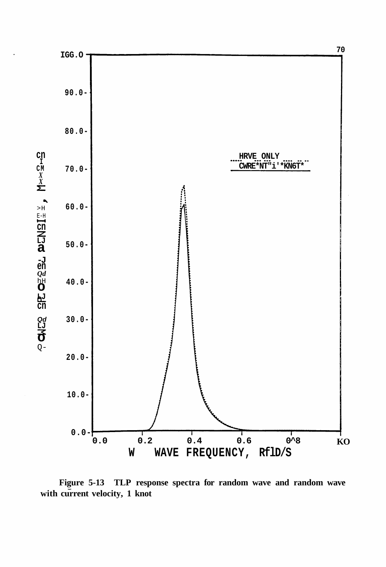

Figure 5-13 TLP response spectra for random wave and random wave with current velocity, 1 knot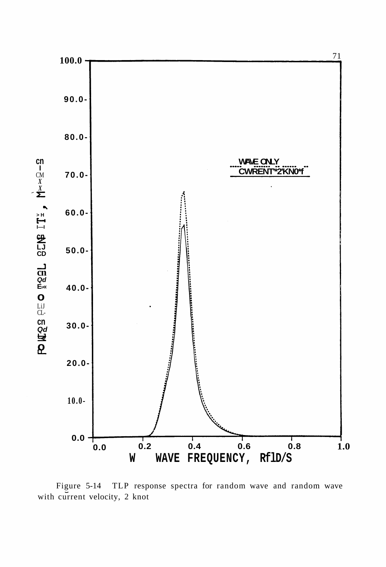

TLP response spectra for random wave and random wave Figure 5-14 with current velocity, 2 knot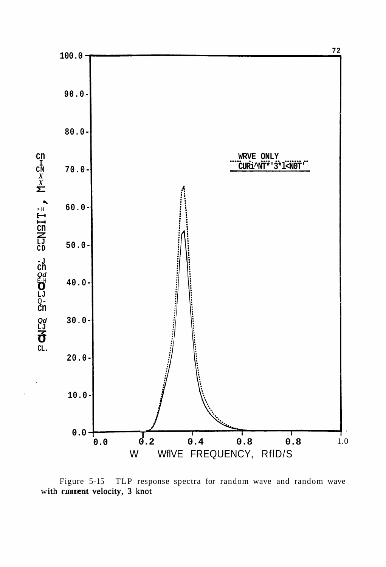

Figure 5-15 TLP response spectra for random wave and random wave with cumrent velocity, 3 knot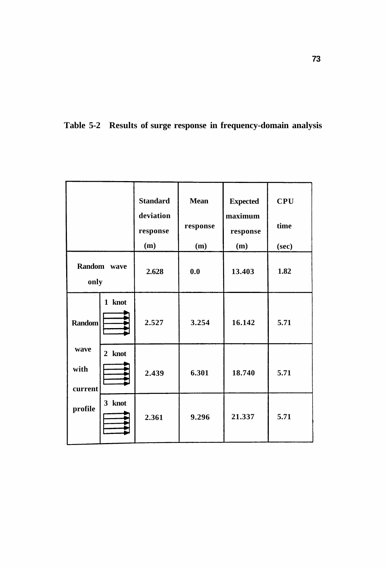|                                                     |        | <b>Standard</b><br>deviation<br>response<br>(m) | <b>Mean</b><br>response<br>(m) | <b>Expected</b><br>maximum<br>response<br>(m) | <b>CPU</b><br>time<br>(sec) |
|-----------------------------------------------------|--------|-------------------------------------------------|--------------------------------|-----------------------------------------------|-----------------------------|
| Random wave<br>only                                 |        | 2.628                                           | 0.0                            | 13.403                                        | 1.82                        |
| <b>Random</b><br>wave<br>with<br>current<br>profile | 1 knot | 2.527                                           | 3.254                          | 16.142                                        | 5.71                        |
|                                                     | 2 knot | 2.439                                           | 6.301                          | 18.740                                        | 5.71                        |
|                                                     | 3 knot | 2.361                                           | 9.296                          | 21.337                                        | 5.71                        |

**Table 5-2 Results of surge response in frequency-domain analysis**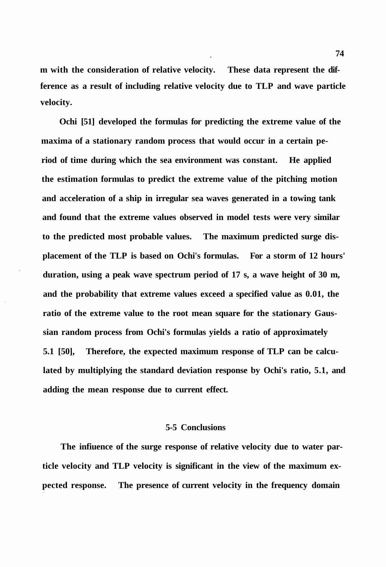**m with the consideration of relative velocity. These data represent the difference as a result of including relative velocity due to TLP and wave particle velocity.** 

**Ochi [51] developed the formulas for predicting the extreme value of the maxima of a stationary random process that would occur in a certain period of time during which the sea environment was constant. He applied the estimation formulas to predict the extreme value of the pitching motion and acceleration of a ship in irregular sea waves generated in a towing tank and found that the extreme values observed in model tests were very similar to the predicted most probable values. The maximum predicted surge displacement of the TLP is based on Ochi's formulas. For a storm of 12 hours' duration, using a peak wave spectrum period of 17 s, a wave height of 30 m, and the probability that extreme values exceed a specified value as 0.01, the ratio of the extreme value to the root mean square for the stationary Gaussian random process from Ochi's formulas yields a ratio of approximately 5.1 [50], Therefore, the expected maximum response of TLP can be calculated by multiplying the standard deviation response by Ochi's ratio, 5.1, and adding the mean response due to current effect.** 

## **5-5 Conclusions**

**The infiuence of the surge response of relative velocity due to water particle velocity and TLP velocity is significant in the view of the maximum expected response. The presence of current velocity in the frequency domain**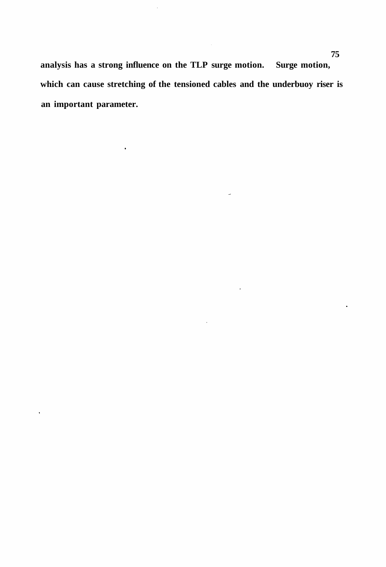**analysis has a strong influence on the TLP surge motion. Surge motion, which can cause stretching of the tensioned cables and the underbuoy riser is an important parameter.** 

 $\ddot{\phantom{0}}$ 

 $\ddot{\phantom{0}}$ 

 $\hat{\mathcal{A}}$ 

 $\bar{z}$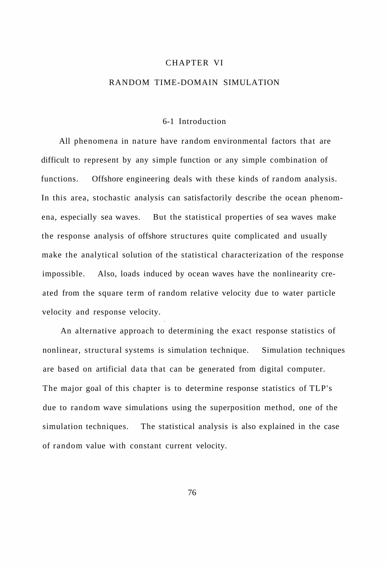### CHAPTER VI

# RANDOM TIME-DOMAIN SIMULATION

#### 6-1 Introduction

All phenomena in nature have random environmental factors that are difficult to represent by any simple function or any simple combination of functions. Offshore engineering deals with these kinds of random analysis. In this area, stochastic analysis can satisfactorily describe the ocean phenomena, especially sea waves. But the statistical properties of sea waves make the response analysis of offshore structures quite complicated and usually make the analytical solution of the statistical characterization of the response impossible. Also, loads induced by ocean waves have the nonlinearity created from the square term of random relative velocity due to water particle velocity and response velocity.

An alternative approach to determining the exact response statistics of nonlinear, structural systems is simulation technique. Simulation techniques are based on artificial data that can be generated from digital computer. The major goal of this chapter is to determine response statistics of TLP's due to random wave simulations using the superposition method, one of the simulation techniques. The statistical analysis is also explained in the case of random value with constant current velocity.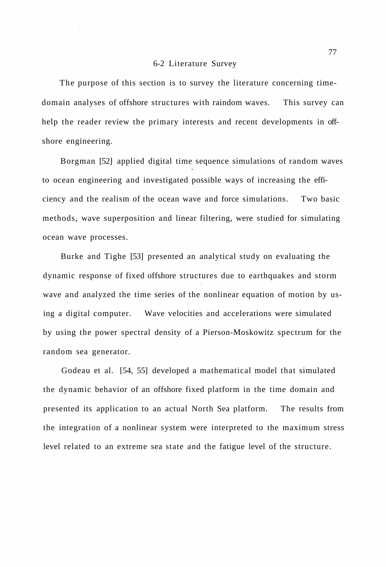#### 6-2 Literature Survey

The purpose of this section is to survey the literature concerning timedomain analyses of offshore structures with raindom waves. This survey can help the reader review the primary interests and recent developments in offshore engineering.

Borgman [52] applied digital time sequence simulations of random waves to ocean engineering and investigated possible ways of increasing the efficiency and the realism of the ocean wave and force simulations. Two basic methods, wave superposition and linear filtering, were studied for simulating ocean wave processes.

Burke and Tighe [53] presented an analytical study on evaluating the dynamic response of fixed offshore structures due to earthquakes and storm wave and analyzed the time series of the nonlinear equation of motion by using a digital computer. Wave velocities and accelerations were simulated by using the power spectral density of a Pierson-Moskowitz spectrum for the random sea generator.

Godeau et al. [54, 55] developed a mathematical model that simulated the dynamic behavior of an offshore fixed platform in the time domain and presented its application to an actual North Sea platform. The results from the integration of a nonlinear system were interpreted to the maximum stress level related to an extreme sea state and the fatigue level of the structure.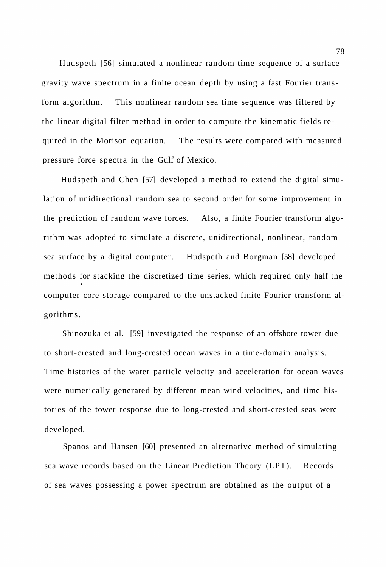Hudspeth [56] simulated a nonlinear random time sequence of a surface gravity wave spectrum in a finite ocean depth by using a fast Fourier transform algorithm. This nonlinear random sea time sequence was filtered by the linear digital filter method in order to compute the kinematic fields required in the Morison equation. The results were compared with measured pressure force spectra in the Gulf of Mexico.

Hudspeth and Chen [57] developed a method to extend the digital simulation of unidirectional random sea to second order for some improvement in the prediction of random wave forces. Also, a finite Fourier transform algorithm was adopted to simulate a discrete, unidirectional, nonlinear, random sea surface by a digital computer. Hudspeth and Borgman [58] developed methods for stacking the discretized time series, which required only half the computer core storage compared to the unstacked finite Fourier transform algorithms.

Shinozuka et al. [59] investigated the response of an offshore tower due to short-crested and long-crested ocean waves in a time-domain analysis. Time histories of the water particle velocity and acceleration for ocean waves were numerically generated by different mean wind velocities, and time histories of the tower response due to long-crested and short-crested seas were developed.

Spanos and Hansen [60] presented an alternative method of simulating sea wave records based on the Linear Prediction Theory (LPT). Records of sea waves possessing a power spectrum are obtained as the output of a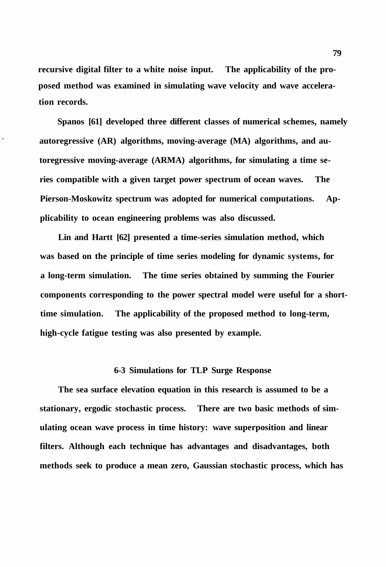**recursive digital filter to a white noise input. The applicability of the proposed method was examined in simulating wave velocity and wave acceleration records.** 

**Spanos [61] developed three different classes of numerical schemes, namely autoregressive (AR) algorithms, moving-average (MA) algorithms, and autoregressive moving-average (ARMA) algorithms, for simulating a time series compatible with a given target power spectrum of ocean waves. The Pierson-Moskowitz spectrum was adopted for numerical computations. Applicability to ocean engineering problems was also discussed.** 

**Lin and Hartt [62] presented a time-series simulation method, which was based on the principle of time series modeling for dynamic systems, for a long-term simulation. The time series obtained by summing the Fourier components corresponding to the power spectral model were useful for a shorttime simulation. The applicability of the proposed method to long-term, high-cycle fatigue testing was also presented by example.** 

# **6-3 Simulations for TLP Surge Response**

**The sea surface elevation equation in this research is assumed to be a stationary, ergodic stochastic process. There are two basic methods of simulating ocean wave process in time history: wave superposition and linear filters. Although each technique has advantages and disadvantages, both methods seek to produce a mean zero, Gaussian stochastic process, which has**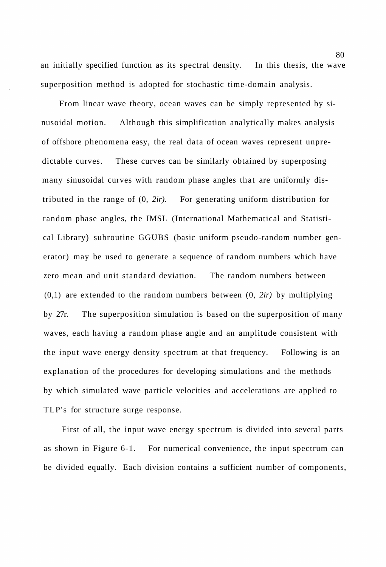an initially specified function as its spectral density. In this thesis, the wave superposition method is adopted for stochastic time-domain analysis.

From linear wave theory, ocean waves can be simply represented by sinusoidal motion. Although this simplification analytically makes analysis of offshore phenomena easy, the real data of ocean waves represent unpredictable curves. These curves can be similarly obtained by superposing many sinusoidal curves with random phase angles that are uniformly distributed in the range of (0, *2ir).* For generating uniform distribution for random phase angles, the IMSL (International Mathematical and Statistical Library) subroutine GGUBS (basic uniform pseudo-random number generator) may be used to generate a sequence of random numbers which have zero mean and unit standard deviation. The random numbers between (0,1) are extended to the random numbers between (0, *2ir)* by multiplying by 27r. The superposition simulation is based on the superposition of many waves, each having a random phase angle and an amplitude consistent with the input wave energy density spectrum at that frequency. Following is an explanation of the procedures for developing simulations and the methods by which simulated wave particle velocities and accelerations are applied to TLP's for structure surge response.

First of all, the input wave energy spectrum is divided into several parts as shown in Figure 6-1. For numerical convenience, the input spectrum can be divided equally. Each division contains a sufficient number of components,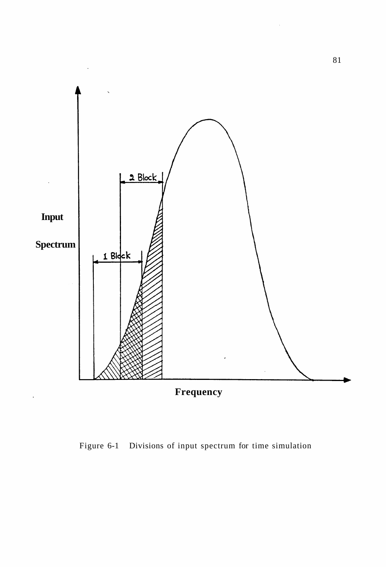

Figure 6-1 Divisions of input spectrum for time simulation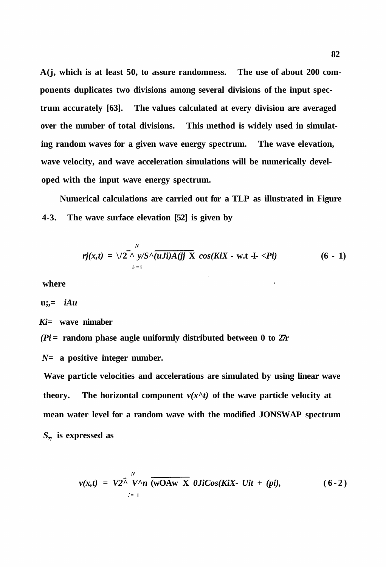**A(j, which is at least 50, to assure randomness. The use of about 200 components duplicates two divisions among several divisions of the input spectrum accurately [63]. The values calculated at every division are averaged over the number of total divisions. This method is widely used in simulating random waves for a given wave energy spectrum. The wave elevation, wave velocity, and wave acceleration simulations will be numerically developed with the input wave energy spectrum.** 

**Numerical calculations are carried out for a TLP as illustrated in Figure 4-3. The wave surface elevation [52] is given by** 

$$
rj(x,t) = \sqrt{2 \cdot \sum_{\dot{s}=i}^{N} y/S \cdot \overline{(uJi)A(jj \mid X \cos(KiX - \text{wt} - \text{t} < Pi)}} \tag{6 - 1}
$$

**where** 

$$
\mathbf{u};=\boldsymbol{i}Au
$$

*Ki=* **wave nimaber** 

*(Pi* **= random phase angle uniformly distributed between 0 to 27r** 

*N=* **a positive integer number.** 

**Wave particle velocities and accelerations are simulated by using linear wave theory.** The horizontal component  $v(x^h t)$  of the wave particle velocity at **mean water level for a random wave with the modified JONSWAP spectrum**  *S"* **is expressed as** 

$$
v(x,t) = V2^{\lambda} V^{\wedge} n \overline{(wOAw X} \quad \text{OJi}Cos(KiX - Uit + (pi)), \qquad (6-2)
$$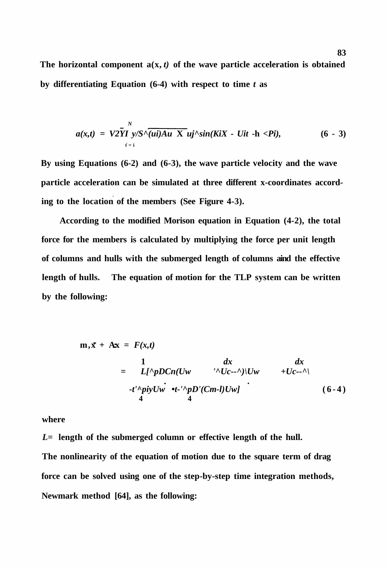The horizontal component  $a(x, t)$  of the wave particle acceleration is obtained **by differentiating Equation (6-4) with respect to time** *t* **as** 

$$
a(x,t) = V2\overline{YI}^N y/S\sqrt{(ui)Au X}^i uj'\sin(KiX - Uit - h < Pi), \qquad (6-3)
$$

**By using Equations (6-2) and (6-3), the wave particle velocity and the wave particle acceleration can be simulated at three different x-coordinates according to the location of the members (See Figure 4-3).** 

**According to the modified Morison equation in Equation (4-2), the total force for the members is calculated by multiplying the force per unit length of columns and hulls with the submerged length of columns aind the effective length of hulls. The equation of motion for the TLP system can be written by the following:** 

$$
m, \vec{x} + Ax = F(x,t)
$$
  
=  $\frac{1}{L[\Delta pD C n (Uw \Delta t - \Delta t)]Uw} + Uc-2$   
- $t' \Delta p i y Uw \cdot t^{-1} \Delta p D' (Cm-l)Uw$  (6-4)

**where** 

*L=* **length of the submerged column or effective length of the hull. The nonlinearity of the equation of motion due to the square term of drag force can be solved using one of the step-by-step time integration methods, Newmark method [64], as the following:**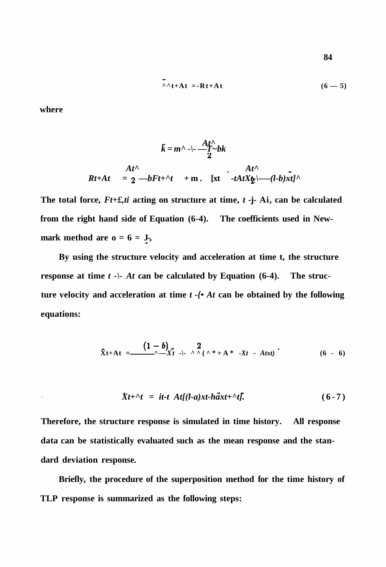$$
\wedge \wedge t + At = -Rt + At \qquad (6-5)
$$

**where** 

$$
\bar{k} = m^{\wedge} - \frac{At^{\wedge}}{2}bk
$$
\n
$$
Rt + At = 2 \quad -bFt + \frac{\wedge t}{2} \quad \text{at } \quad At^{\wedge}
$$
\n
$$
Rt + At = 2 \quad -bFt + \frac{\wedge t}{2} \quad \text{at } \quad -tAtX_{\mathcal{D}} \mid = -(l-b)xt^{\wedge}
$$

**The total force,** *Ft+£,ti* **acting on structure at time,** *t* **-j- Ai, can be calculated from the right hand side of Equation (6-4). The coefficients used in New**mark method are  $o = 6 = J_5$ ,

**By using the structure velocity and acceleration at time t, the structure response at time t -** |- At can be calculated by Equation (6-4). The struc**ture velocity and acceleration at time** *t -{• At* **can be obtained by the following equations:** 

$$
\mathbf{\ddot{X}}t + At = \frac{(1-b)}{\lambda - Xt} \leftarrow \lambda \lambda (\lambda * + A * -Xt - Atxt) \qquad (6 - 6)
$$

$$
Xt+\gamma t = it-t At[(l-a)xt-h\ddot{a}xt+\gamma t]. \qquad (6-7)
$$

**Therefore, the structure response is simulated in time history. All response data can be statistically evaluated such as the mean response and the standard deviation response.** 

**Briefly, the procedure of the superposition method for the time history of TLP response is summarized as the following steps:**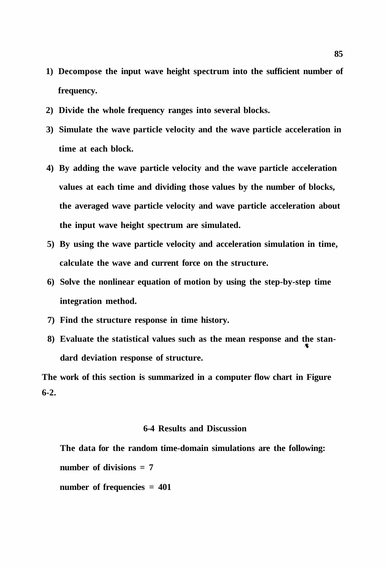- **1) Decompose the input wave height spectrum into the sufficient number of frequency.**
- **2) Divide the whole frequency ranges into several blocks.**
- **3) Simulate the wave particle velocity and the wave particle acceleration in time at each block.**
- **4) By adding the wave particle velocity and the wave particle acceleration values at each time and dividing those values by the number of blocks, the averaged wave particle velocity and wave particle acceleration about the input wave height spectrum are simulated.**
- **5) By using the wave particle velocity and acceleration simulation in time, calculate the wave and current force on the structure.**
- **6) Solve the nonlinear equation of motion by using the step-by-step time integration method.**
- **7) Find the structure response in time history.**
- **8) Evaluate the statistical values such as the mean response and the standard deviation response of structure.**

**The work of this section is summarized in a computer flow chart in Figure 6-2.** 

# **6-4 Results and Discussion**

**The data for the random time-domain simulations are the following: number of divisions = 7 number of frequencies = 401**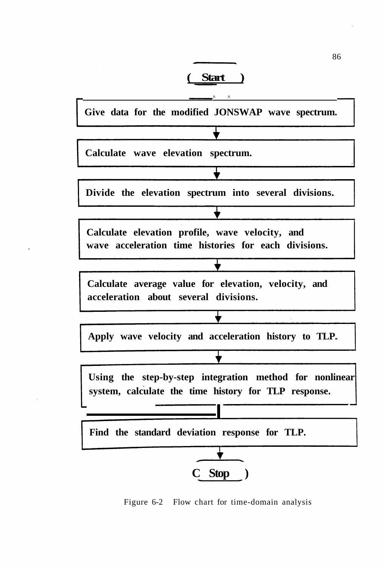



Figure 6-2 Flow chart for time-domain analysis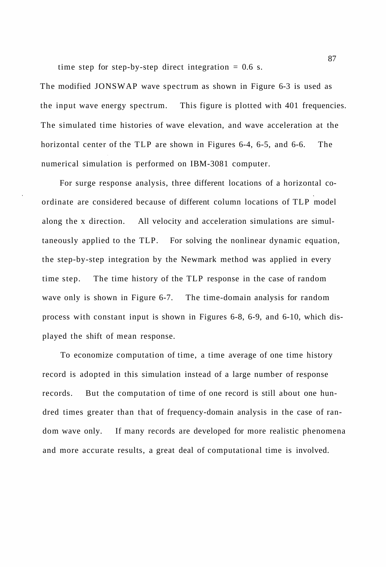time step for step-by-step direct integration  $= 0.6$  s.

The modified JONSWAP wave spectrum as shown in Figure 6-3 is used as the input wave energy spectrum. This figure is plotted with 401 frequencies. The simulated time histories of wave elevation, and wave acceleration at the horizontal center of the TLP are shown in Figures 6-4, 6-5, and 6-6. The numerical simulation is performed on IBM-3081 computer.

For surge response analysis, three different locations of a horizontal coordinate are considered because of different column locations of TLP model along the x direction. All velocity and acceleration simulations are simultaneously applied to the TLP. For solving the nonlinear dynamic equation, the step-by-step integration by the Newmark method was applied in every time step. The time history of the TLP response in the case of random wave only is shown in Figure 6-7. The time-domain analysis for random process with constant input is shown in Figures 6-8, 6-9, and 6-10, which displayed the shift of mean response.

To economize computation of time, a time average of one time history record is adopted in this simulation instead of a large number of response records. But the computation of time of one record is still about one hundred times greater than that of frequency-domain analysis in the case of random wave only. If many records are developed for more realistic phenomena and more accurate results, a great deal of computational time is involved.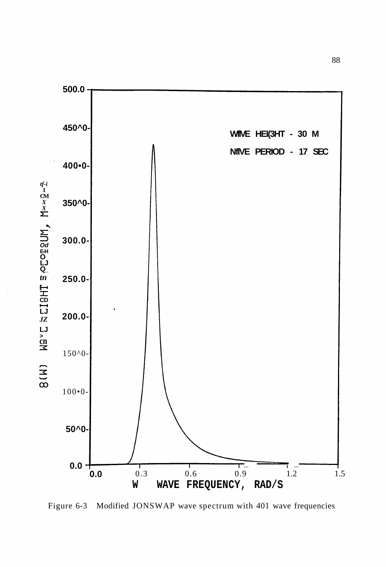

Figure 6-3 Modified JONSWAP wave spectrum with 401 wave frequencies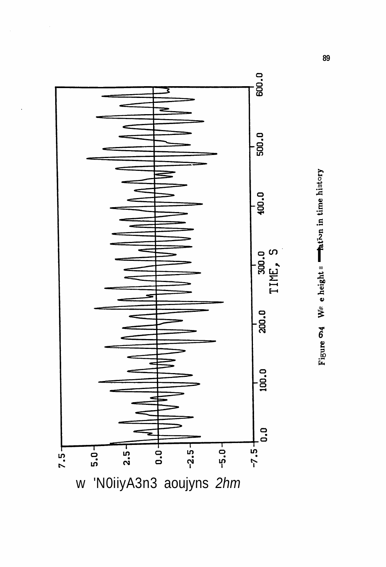

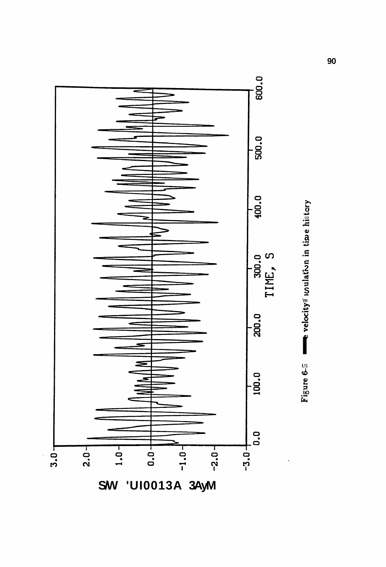

**SW 'UI0013A 3AyM**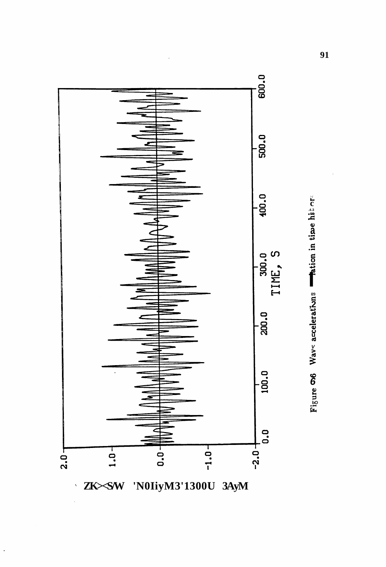



'N0IiyM3'1300U 3AyM ZKXSW

 $\ddot{\phantom{0}}$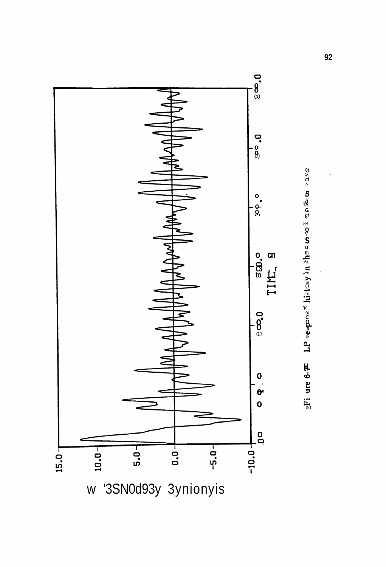

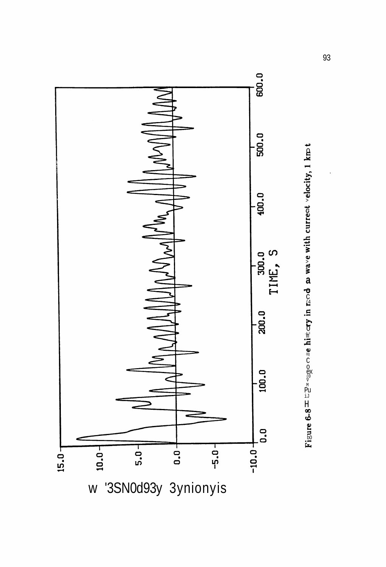

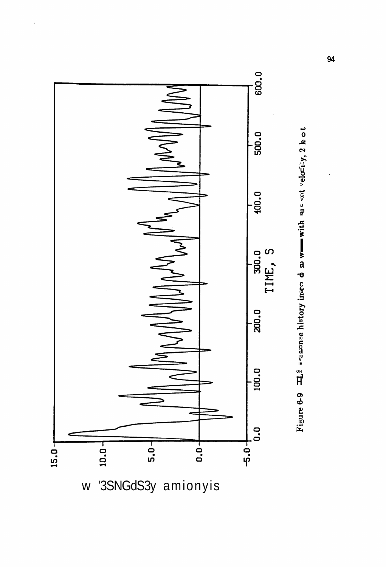

'3SNGdS3y amionyis  $\mathsf{W}$ 

Figure 6-9  $\pi L^2$  = sponse history inare d as we with sus sot velocity, 2 hot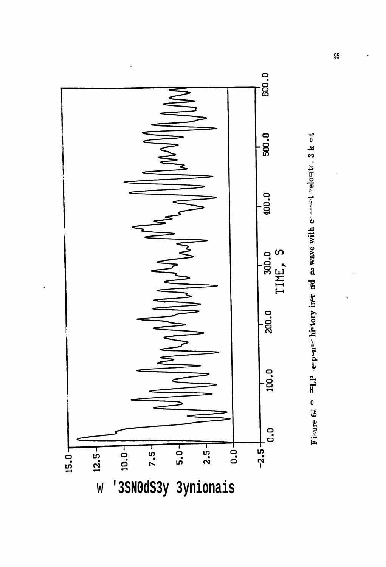

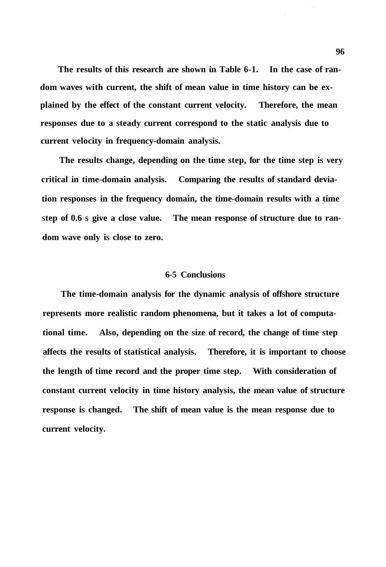**The results of this research are shown in Table 6-1. In the case of random waves with current, the shift of mean value in time history can be explained by the effect of the constant current velocity. Therefore, the mean responses due to a steady current correspond to the static analysis due to current velocity in frequency-domain analysis.** 

**The results change, depending on the time step, for the time step is very critical in time-domain analysis. Comparing the results of standard deviation responses in the frequency domain, the time-domain results with a time step of 0.6 s give a close value. The mean response of structure due to random wave only is close to zero.** 

## **6-5 Conclusions**

**The time-domain analysis for the dynamic analysis of offshore structure represents more realistic random phenomena, but it takes a lot of computational time. Also, depending on the size of record, the change of time step affects the results of statistical analysis. Therefore, it is important to choose the length of time record and the proper time step. With consideration of constant current velocity in time history analysis, the mean value of structure response is changed. The shift of mean value is the mean response due to current velocity.**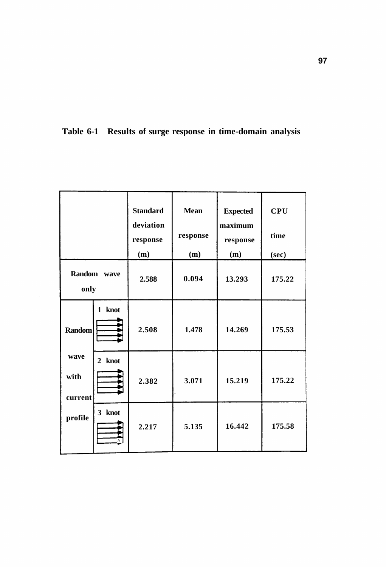

|                                                     |        | <b>Standard</b><br>deviation<br>response<br>(m) | <b>Mean</b><br>response | <b>Expected</b><br>maximum<br>response<br>(m) | <b>CPU</b><br>time |
|-----------------------------------------------------|--------|-------------------------------------------------|-------------------------|-----------------------------------------------|--------------------|
| Random<br>wave<br>only                              |        | 2.588                                           | (m)<br>0.094            | 13.293                                        | (sec)<br>175.22    |
| <b>Random</b><br>wave<br>with<br>current<br>profile | 1 knot | 2.508                                           | 1.478                   | 14.269                                        | 175.53             |
|                                                     | 2 knot | 2.382                                           | 3.071                   | 15.219                                        | 175.22             |
|                                                     | 3 knot | 2.217                                           | 5.135                   | 16.442                                        | 175.58             |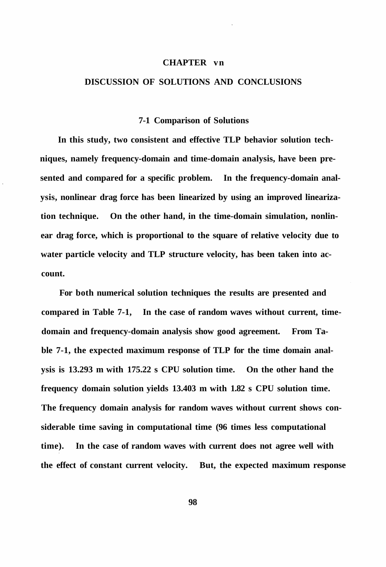## **CHAPTER vn**

# **DISCUSSION OF SOLUTIONS AND CONCLUSIONS**

#### **7-1 Comparison of Solutions**

**In this study, two consistent and effective TLP behavior solution techniques, namely frequency-domain and time-domain analysis, have been presented and compared for a specific problem. In the frequency-domain analysis, nonlinear drag force has been linearized by using an improved linearization technique. On the other hand, in the time-domain simulation, nonlinear drag force, which is proportional to the square of relative velocity due to water particle velocity and TLP structure velocity, has been taken into account.** 

**For both numerical solution techniques the results are presented and compared in Table 7-1, In the case of random waves without current, timedomain and frequency-domain analysis show good agreement. From Table 7-1, the expected maximum response of TLP for the time domain analysis is 13.293 m with 175.22 s CPU solution time. On the other hand the frequency domain solution yields 13.403 m with 1.82 s CPU solution time. The frequency domain analysis for random waves without current shows considerable time saving in computational time (96 times less computational time). In the case of random waves with current does not agree well with the effect of constant current velocity. But, the expected maximum response**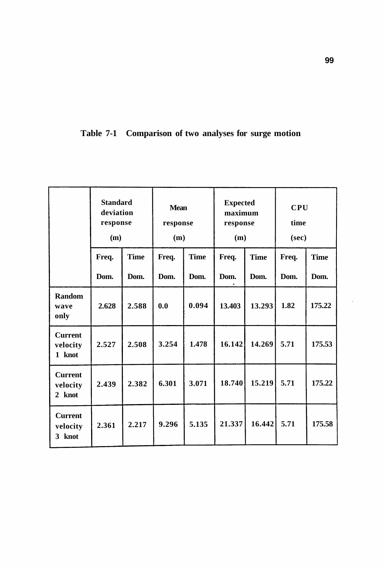**Table 7-1 Comparison of two analyses for surge motion** 

|                                      | <b>Standard</b><br>deviation<br>response<br>(m) |             | <b>Mean</b><br>response<br>(m) |             | <b>Expected</b><br>maximum<br>response<br>(m) |             | <b>CPU</b><br>time<br>(sec) |             |
|--------------------------------------|-------------------------------------------------|-------------|--------------------------------|-------------|-----------------------------------------------|-------------|-----------------------------|-------------|
|                                      | Freq.                                           | <b>Time</b> | Freq.                          | <b>Time</b> | Freq.                                         | <b>Time</b> | Freq.                       | <b>Time</b> |
|                                      | Dom.                                            | Dom.        | Dom.                           | Dom.        | Dom.                                          | Dom.        | Dom.                        | Dom.        |
| Random<br>wave<br>only               | 2.628                                           | 2.588       | 0.0                            | 0.094       | 13.403                                        | 13.293      | 1.82                        | 175.22      |
| <b>Current</b><br>velocity<br>1 knot | 2.527                                           | 2.508       | 3.254                          | 1.478       | 16.142                                        | 14.269      | 5.71                        | 175.53      |
| <b>Current</b><br>velocity<br>2 knot | 2.439                                           | 2.382       | 6.301                          | 3.071       | 18.740                                        | 15.219      | 5.71                        | 175.22      |
| <b>Current</b><br>velocity<br>3 knot | 2.361                                           | 2.217       | 9.296                          | 5.135       | 21.337                                        | 16.442      | 5.71                        | 175.58      |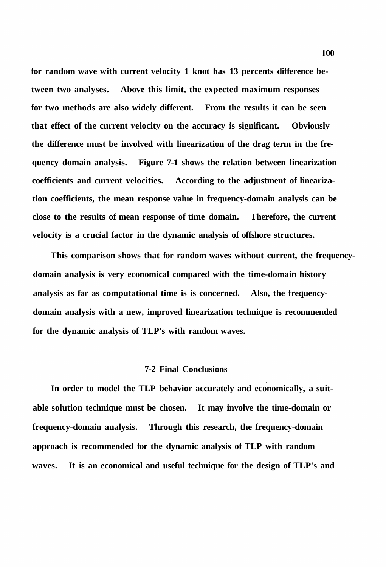**for random wave with current velocity 1 knot has 13 percents difference between two analyses. Above this limit, the expected maximum responses for two methods are also widely different. From the results it can be seen that effect of the current velocity on the accuracy is significant. Obviously the difference must be involved with linearization of the drag term in the frequency domain analysis. Figure 7-1 shows the relation between linearization coefficients and current velocities. According to the adjustment of linearization coefficients, the mean response value in frequency-domain analysis can be close to the results of mean response of time domain. Therefore, the current velocity is a crucial factor in the dynamic analysis of offshore structures.** 

**This comparison shows that for random waves without current, the frequencydomain analysis is very economical compared with the time-domain history analysis as far as computational time is is concerned. Also, the frequencydomain analysis with a new, improved linearization technique is recommended for the dynamic analysis of TLP's with random waves.** 

## **7-2 Final Conclusions**

**In order to model the TLP behavior accurately and economically, a suitable solution technique must be chosen. It may involve the time-domain or frequency-domain analysis. Through this research, the frequency-domain approach is recommended for the dynamic analysis of TLP with random waves. It is an economical and useful technique for the design of TLP's and**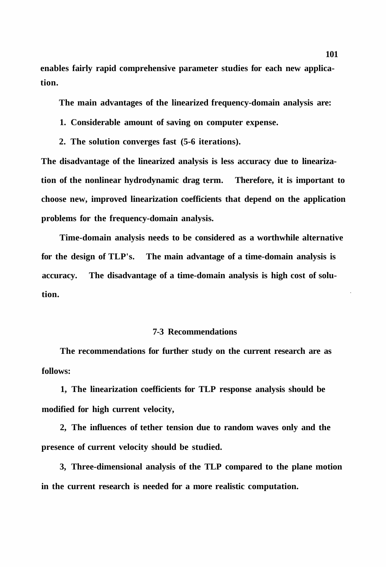**enables fairly rapid comprehensive parameter studies for each new application.** 

**The main advantages of the linearized frequency-domain analysis are:** 

- **1. Considerable amount of saving on computer expense.**
- **2. The solution converges fast (5-6 iterations).**

**The disadvantage of the linearized analysis is less accuracy due to linearization of the nonlinear hydrodynamic drag term. Therefore, it is important to choose new, improved linearization coefficients that depend on the application problems for the frequency-domain analysis.** 

**Time-domain analysis needs to be considered as a worthwhile alternative for the design of TLP's. The main advantage of a time-domain analysis is accuracy. The disadvantage of a time-domain analysis is high cost of solution.** 

# **7-3 Recommendations**

**The recommendations for further study on the current research are as follows:** 

**1, The linearization coefficients for TLP response analysis should be modified for high current velocity,** 

**2, The influences of tether tension due to random waves only and the presence of current velocity should be studied.** 

**3, Three-dimensional analysis of the TLP compared to the plane motion in the current research is needed for a more realistic computation.**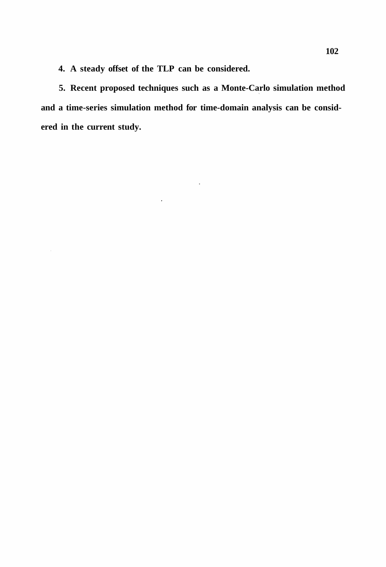**4. A steady offset of the TLP can be considered.** 

 $\hat{\mathcal{L}}$ 

 $\mathcal{A}^{\mathcal{A}}$ 

**5. Recent proposed techniques such as a Monte-Carlo simulation method and a time-series simulation method for time-domain analysis can be considered in the current study.** 

 $\ddot{\phantom{0}}$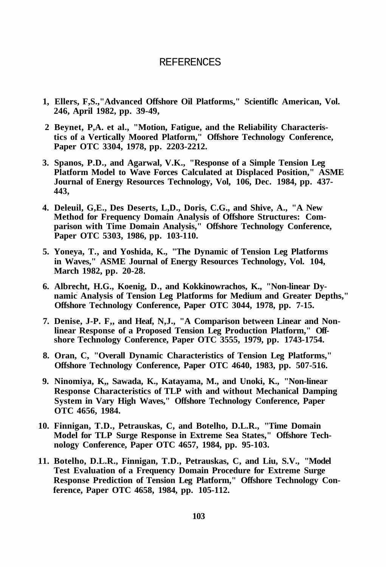#### REFERENCES

- **1, Ellers, F,S.,"Advanced Offshore Oil Platforms," Scientiflc American, Vol. 246, April 1982, pp. 39-49,**
- **2 Beynet, P,A. et al., "Motion, Fatigue, and the Reliability Characteristics of a Vertically Moored Platform," Offshore Technology Conference, Paper OTC 3304, 1978, pp. 2203-2212.**
- **3. Spanos, P.D., and Agarwal, V.K., "Response of a Simple Tension Leg Platform Model to Wave Forces Calculated at Displaced Position," ASME Journal of Energy Resources Technology, Vol, 106, Dec. 1984, pp. 437- 443,**
- **4. Deleuil, G,E., Des Deserts, L,D., Doris, C.G., and Shive, A., "A New Method for Frequency Domain Analysis of Offshore Structures: Comparison with Time Domain Analysis," Offshore Technology Conference, Paper OTC 5303, 1986, pp. 103-110.**
- **5. Yoneya, T., and Yoshida, K., "The Dynamic of Tension Leg Platforms in Waves," ASME Journal of Energy Resources Technology, Vol. 104, March 1982, pp. 20-28.**
- **6. Albrecht, H.G., Koenig, D., and Kokkinowrachos, K., "Non-linear Dynamic Analysis of Tension Leg Platforms for Medium and Greater Depths," Offshore Technology Conference, Paper OTC 3044, 1978, pp. 7-15.**
- **7. Denise, J-P. F,, and Heaf, N,J., "A Comparison between Linear and Nonlinear Response of a Proposed Tension Leg Production Platform," Offshore Technology Conference, Paper OTC 3555, 1979, pp. 1743-1754.**
- **8. Oran, C, "Overall Dynamic Characteristics of Tension Leg Platforms," Offshore Technology Conference, Paper OTC 4640, 1983, pp. 507-516.**
- **9. Ninomiya, K,, Sawada, K., Katayama, M., and Unoki, K., "Non-linear Response Characteristics of TLP with and without Mechanical Damping System in Vary High Waves," Offshore Technology Conference, Paper OTC 4656, 1984.**
- **10. Finnigan, T.D., Petrauskas, C, and Botelho, D.L.R., "Time Domain Model for TLP Surge Response in Extreme Sea States," Offshore Technology Conference, Paper OTC 4657, 1984, pp. 95-103.**
- **11. Botelho, D.L.R., Finnigan, T.D., Petrauskas, C, and Liu, S.V., "Model Test Evaluation of a Frequency Domain Procedure for Extreme Surge Response Prediction of Tension Leg Platform," Offshore Technology Conference, Paper OTC 4658, 1984, pp. 105-112.**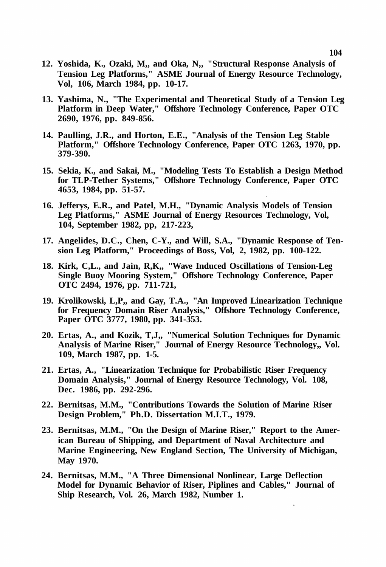- **12. Yoshida, K., Ozaki, M,, and Oka, N,, "Structural Response Analysis of Tension Leg Platforms," ASME Journal of Energy Resource Technology, Vol, 106, March 1984, pp. 10-17.**
- **13. Yashima, N., "The Experimental and Theoretical Study of a Tension Leg Platform in Deep Water," Offshore Technology Conference, Paper OTC 2690, 1976, pp. 849-856.**
- **14. Paulling, J.R., and Horton, E.E., "Analysis of the Tension Leg Stable Platform," Offshore Technology Conference, Paper OTC 1263, 1970, pp. 379-390.**
- **15. Sekia, K., and Sakai, M., "Modeling Tests To Establish a Design Method for TLP-Tether Systems," Offshore Technology Conference, Paper OTC 4653, 1984, pp. 51-57.**
- **16. Jefferys, E.R., and Patel, M.H., "Dynamic Analysis Models of Tension Leg Platforms," ASME Journal of Energy Resources Technology, Vol, 104, September 1982, pp, 217-223,**
- **17. Angelides, D.C., Chen, C-Y., and Will, S.A., "Dynamic Response of Tension Leg Platform," Proceedings of Boss, Vol, 2, 1982, pp. 100-122.**
- **18. Kirk, C,L., and Jain, R,K,, "Wave Induced Oscillations of Tension-Leg Single Buoy Mooring System," Offshore Technology Conference, Paper OTC 2494, 1976, pp. 711-721,**
- **19. Krolikowski, L,P,, and Gay, T.A., "An Improved Linearization Technique for Frequency Domain Riser Analysis," Offshore Technology Conference, Paper OTC 3777, 1980, pp. 341-353.**
- **20. Ertas, A., and Kozik, T,J,, "Numerical Solution Techniques for Dynamic Analysis of Marine Riser," Journal of Energy Resource Technology,, Vol. 109, March 1987, pp. 1-5.**
- **21. Ertas, A., "Linearization Technique for Probabilistic Riser Frequency Domain Analysis," Journal of Energy Resource Technology, Vol. 108, Dec. 1986, pp. 292-296.**
- **22. Bernitsas, M.M., "Contributions Towards the Solution of Marine Riser Design Problem," Ph.D. Dissertation M.I.T., 1979.**
- **23. Bernitsas, M.M., "On the Design of Marine Riser," Report to the American Bureau of Shipping, and Department of Naval Architecture and Marine Engineering, New England Section, The University of Michigan, May 1970.**
- **24. Bernitsas, M.M., "A Three Dimensional Nonlinear, Large Deflection Model for Dynamic Behavior of Riser, Piplines and Cables," Journal of Ship Research, Vol. 26, March 1982, Number 1.**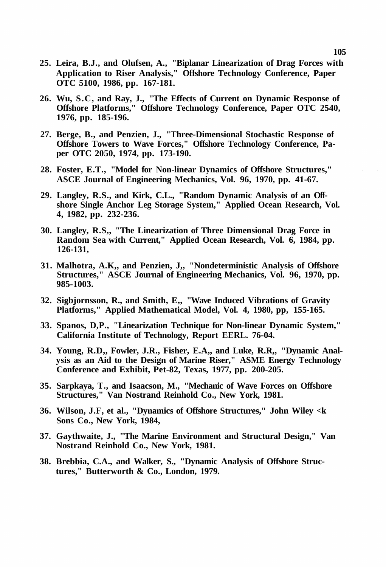- **25. Leira, B.J., and Olufsen, A., "Biplanar Linearization of Drag Forces with Application to Riser Analysis," Offshore Technology Conference, Paper OTC 5100, 1986, pp. 167-181.**
- **26. Wu, S.C, and Ray, J., "The Effects of Current on Dynamic Response of Offshore Platforms," Offshore Technology Conference, Paper OTC 2540, 1976, pp. 185-196.**
- **27. Berge, B., and Penzien, J., "Three-Dimensional Stochastic Response of Offshore Towers to Wave Forces," Offshore Technology Conference, Paper OTC 2050, 1974, pp. 173-190.**
- **28. Foster, E.T., "Model for Non-linear Dynamics of Offshore Structures," ASCE Journal of Engineering Mechanics, Vol. 96, 1970, pp. 41-67.**
- **29. Langley, R.S., and Kirk, C.L., "Random Dynamic Analysis of an Offshore Single Anchor Leg Storage System," Applied Ocean Research, Vol. 4, 1982, pp. 232-236.**
- **30. Langley, R.S,, "The Linearization of Three Dimensional Drag Force in Random Sea with Current," Applied Ocean Research, Vol. 6, 1984, pp. 126-131,**
- **31. Malhotra, A.K,, and Penzien, J,, "Nondeterministic Analysis of Offshore Structures," ASCE Journal of Engineering Mechanics, Vol. 96, 1970, pp. 985-1003.**
- **32. Sigbjornsson, R., and Smith, E,, "Wave Induced Vibrations of Gravity Platforms," Applied Mathematical Model, Vol. 4, 1980, pp, 155-165.**
- **33. Spanos, D,P., "Linearization Technique for Non-linear Dynamic System," California Institute of Technology, Report EERL. 76-04.**
- **34. Young, R.D,, Fowler, J.R., Fisher, E.A,, and Luke, R.R,, "Dynamic Analysis as an Aid to the Design of Marine Riser," ASME Energy Technology Conference and Exhibit, Pet-82, Texas, 1977, pp. 200-205.**
- **35. Sarpkaya, T., and Isaacson, M., "Mechanic of Wave Forces on Offshore Structures," Van Nostrand Reinhold Co., New York, 1981.**
- **36. Wilson, J.F, et al., "Dynamics of Offshore Structures," John Wiley <k Sons Co., New York, 1984,**
- **37. Gaythwaite, J., "The Marine Environment and Structural Design," Van Nostrand Reinhold Co., New York, 1981.**
- **38. Brebbia, C.A., and Walker, S., "Dynamic Analysis of Offshore Structures," Butterworth & Co., London, 1979.**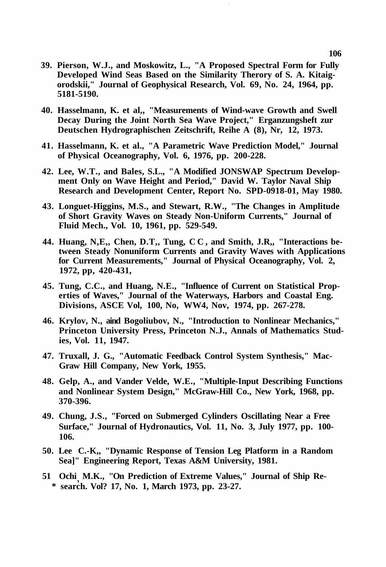- **39. Pierson, W.J., and Moskowitz, L., "A Proposed Spectral Form for Fully Developed Wind Seas Based on the Similarity Therory of S. A. Kitaigorodskii," Journal of Geophysical Research, Vol. 69, No. 24, 1964, pp. 5181-5190.**
- **40. Hasselmann, K. et al,, "Measurements of Wind-wave Growth and Swell Decay During the Joint North Sea Wave Project," Erganzungsheft zur Deutschen Hydrographischen Zeitschrift, Reihe A (8), Nr, 12, 1973.**
- **41. Hasselmann, K. et al., "A Parametric Wave Prediction Model," Journal of Physical Oceanography, Vol. 6, 1976, pp. 200-228.**
- **42. Lee, W.T., and Bales, S.L., "A Modified JONSWAP Spectrum Development Only on Wave Height and Period," David W. Taylor Naval Ship Research and Development Center, Report No. SPD-0918-01, May 1980.**
- **43. Longuet-Higgins, M.S., and Stewart, R.W., "The Changes in Amplitude of Short Gravity Waves on Steady Non-Uniform Currents," Journal of Fluid Mech., Vol. 10, 1961, pp. 529-549.**
- **44. Huang, N,E,, Chen, D.T,, Tung, CC , and Smith, J.R,, "Interactions between Steady Nonuniform Currents and Gravity Waves with Applications for Current Measurements," Journal of Physical Oceanography, Vol. 2, 1972, pp, 420-431,**
- **45. Tung, C.C., and Huang, N.E., "Influence of Current on Statistical Properties of Waves," Journal of the Waterways, Harbors and Coastal Eng. Divisions, ASCE Vol, 100, No, WW4, Nov, 1974, pp. 267-278.**
- **46. Krylov, N., aind Bogoliubov, N., "Introduction to Nonlinear Mechanics," Princeton University Press, Princeton N.J., Annals of Mathematics Studies, Vol. 11, 1947.**
- **47. Truxall, J. G., "Automatic Feedback Control System Synthesis," Mac-Graw Hill Company, New York, 1955.**
- **48. Gelp, A., and Vander Velde, W.E., "Multiple-Input Describing Functions and Nonlinear System Design," McGraw-Hill Co., New York, 1968, pp. 370-396.**
- **49. Chung, J.S., "Forced on Submerged Cylinders Oscillating Near a Free Surface," Journal of Hydronautics, Vol. 11, No. 3, July 1977, pp. 100- 106.**
- **50. Lee C.-K,, "Dynamic Response of Tension Leg Platform in a Random Sea]" Engineering Report, Texas A&M University, 1981.**
- **51 Ochi M.K., "On Prediction of Extreme Values," Journal of Ship Re- \* search. Vol? 17, No. 1, March 1973, pp. 23-27.**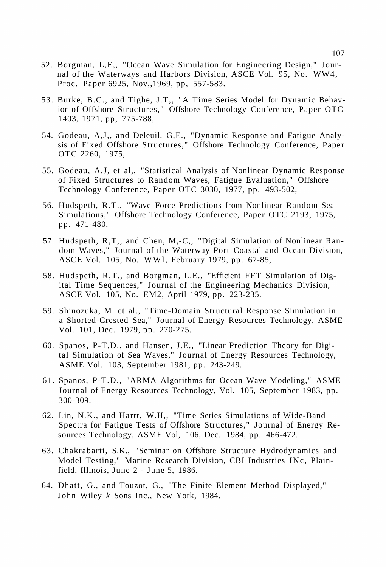- 52. Borgman, L,E,, "Ocean Wave Simulation for Engineering Design," Journal of the Waterways and Harbors Division, ASCE Vol. 95, No. WW4, Proc. Paper 6925, Nov,,1969, pp, 557-583.
- 53. Burke, B.C., and Tighe, J.T,, "A Time Series Model for Dynamic Behavior of Offshore Structures," Offshore Technology Conference, Paper OTC 1403, 1971, pp, 775-788,
- 54. Godeau, A,J,, and Deleuil, G,E., "Dynamic Response and Fatigue Analysis of Fixed Offshore Structures," Offshore Technology Conference, Paper OTC 2260, 1975,
- 55. Godeau, A.J, et al,, "Statistical Analysis of Nonlinear Dynamic Response of Fixed Structures to Random Waves, Fatigue Evaluation," Offshore Technology Conference, Paper OTC 3030, 1977, pp. 493-502,
- 56. Hudspeth, R.T., "Wave Force Predictions from Nonlinear Random Sea Simulations," Offshore Technology Conference, Paper OTC 2193, 1975, pp. 471-480,
- 57. Hudspeth, R,T,, and Chen, M,-C,, "Digital Simulation of Nonlinear Random Waves," Journal of the Waterway Port Coastal and Ocean Division, ASCE Vol. 105, No. WW1, February 1979, pp. 67-85,
- 58. Hudspeth, R,T., and Borgman, L.E., "Efficient FFT Simulation of Digital Time Sequences," Journal of the Engineering Mechanics Division, ASCE Vol. 105, No. EM2, April 1979, pp. 223-235.
- 59. Shinozuka, M. et al., "Time-Domain Structural Response Simulation in a Shorted-Crested Sea," Journal of Energy Resources Technology, ASME Vol. 101, Dec. 1979, pp. 270-275.
- 60. Spanos, P-T.D., and Hansen, J.E., "Linear Prediction Theory for Digital Simulation of Sea Waves," Journal of Energy Resources Technology, ASME Vol. 103, September 1981, pp. 243-249.
- 61. Spanos, P-T.D., "ARMA Algorithms for Ocean Wave Modeling," ASME Journal of Energy Resources Technology, Vol. 105, September 1983, pp. 300-309.
- 62. Lin, N.K., and Hartt, W.H,, "Time Series Simulations of Wide-Band Spectra for Fatigue Tests of Offshore Structures," Journal of Energy Resources Technology, ASME Vol, 106, Dec. 1984, pp. 466-472.
- 63. Chakrabarti, S.K., "Seminar on Offshore Structure Hydrodynamics and Model Testing," Marine Research Division, CBI Industries INc, Plainfield, Illinois, June 2 - June 5, 1986.
- 64. Dhatt, G., and Touzot, G., "The Finite Element Method Displayed," John Wiley *k* Sons Inc., New York, 1984.